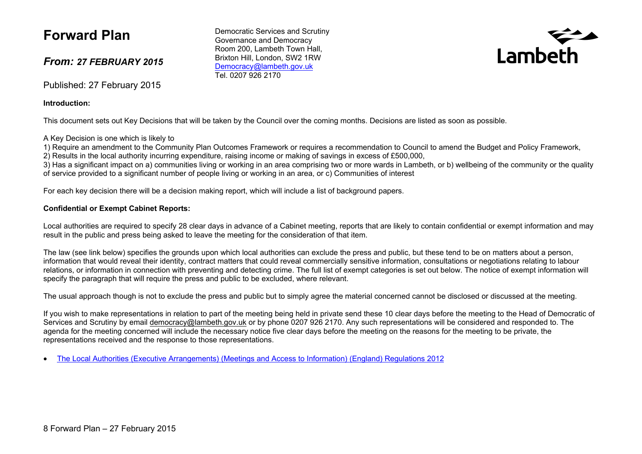# **Forward Plan**

### *From: 27 FEBRUARY 2015*

Published: 27 February 2015

#### **Introduction:**

This document sets out Key Decisions that will be taken by the Council over the coming months. Decisions are listed as soon as possible.

#### A Key Decision is one which is likely to

1) Require an amendment to the Community Plan Outcomes Framework or requires a recommendation to Council to amend the Budget and Policy Framework, 2) Results in the local authority incurring expenditure, raising income or making of savings in excess of £500,000,

3) Has a significant impact on a) communities living or working in an area comprising two or more wards in Lambeth, or b) wellbeing of the community or the quality of service provided to a significant number of people living or working in an area, or c) Communities of interest

For each key decision there will be a decision making report, which will include a list of background papers.

#### **Confidential or Exempt Cabinet Reports:**

Local authorities are required to specify 28 clear days in advance of a Cabinet meeting, reports that are likely to contain confidential or exempt information and may result in the public and press being asked to leave the meeting for the consideration of that item.

The law (see link below) specifies the grounds upon which local authorities can exclude the press and public, but these tend to be on matters about a person, information that would reveal their identity, contract matters that could reveal commercially sensitive information, consultations or negotiations relating to labour relations, or information in connection with preventing and detecting crime. The full list of exempt categories is set out below. The notice of exempt information will specify the paragraph that will require the press and public to be excluded, where relevant.

The usual approach though is not to exclude the press and public but to simply agree the material concerned cannot be disclosed or discussed at the meeting.

If you wish to make representations in relation to part of the meeting being held in private send these 10 clear days before the meeting to the Head of Democratic of Services and Scrutiny by email [democracy@lambeth.gov.uk](mailto:democracy@lambeth.gov.uk) or by phone 0207 926 2170. Any such representations will be considered and responded to. The agenda for the meeting concerned will include the necessary notice five clear days before the meeting on the reasons for the meeting to be private, the representations received and the response to those representations.

The Local Authorities (Executive [Arrangements\)](http://www.legislation.gov.uk/uksi/2012/2089/made) (Meetings and Access to Information) (England) [Regulations](http://www.legislation.gov.uk/uksi/2012/2089/made) 2012

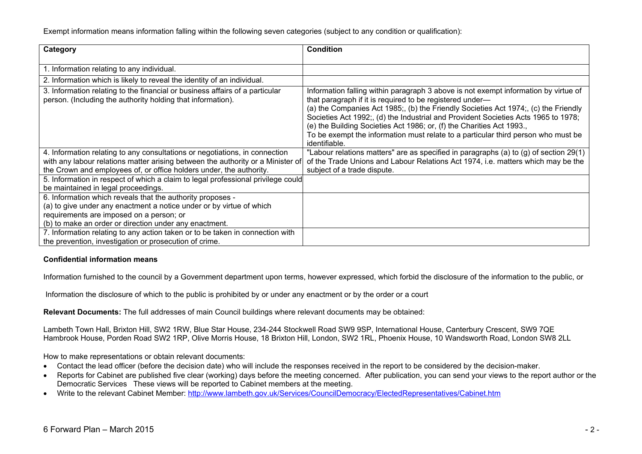Exempt information means information falling within the following seven categories (subject to any condition or qualification):

| Category                                                                                                                                                                                                                                 | <b>Condition</b>                                                                                                                                                                                                                                                                                                                                                                                                                                                                                          |
|------------------------------------------------------------------------------------------------------------------------------------------------------------------------------------------------------------------------------------------|-----------------------------------------------------------------------------------------------------------------------------------------------------------------------------------------------------------------------------------------------------------------------------------------------------------------------------------------------------------------------------------------------------------------------------------------------------------------------------------------------------------|
| 1. Information relating to any individual.                                                                                                                                                                                               |                                                                                                                                                                                                                                                                                                                                                                                                                                                                                                           |
| 2. Information which is likely to reveal the identity of an individual.                                                                                                                                                                  |                                                                                                                                                                                                                                                                                                                                                                                                                                                                                                           |
| 3. Information relating to the financial or business affairs of a particular<br>person. (Including the authority holding that information).                                                                                              | Information falling within paragraph 3 above is not exempt information by virtue of<br>that paragraph if it is required to be registered under—<br>(a) the Companies Act 1985; (b) the Friendly Societies Act 1974; (c) the Friendly<br>Societies Act 1992;, (d) the Industrial and Provident Societies Acts 1965 to 1978;<br>(e) the Building Societies Act 1986; or, (f) the Charities Act 1993.,<br>To be exempt the information must relate to a particular third person who must be<br>identifiable. |
| 4. Information relating to any consultations or negotiations, in connection<br>with any labour relations matter arising between the authority or a Minister of<br>the Crown and employees of, or office holders under, the authority.    | "Labour relations matters" are as specified in paragraphs (a) to (g) of section 29(1)<br>of the Trade Unions and Labour Relations Act 1974, i.e. matters which may be the<br>subject of a trade dispute.                                                                                                                                                                                                                                                                                                  |
| 5. Information in respect of which a claim to legal professional privilege could<br>be maintained in legal proceedings.                                                                                                                  |                                                                                                                                                                                                                                                                                                                                                                                                                                                                                                           |
| 6. Information which reveals that the authority proposes -<br>(a) to give under any enactment a notice under or by virtue of which<br>requirements are imposed on a person; or<br>(b) to make an order or direction under any enactment. |                                                                                                                                                                                                                                                                                                                                                                                                                                                                                                           |
| 7. Information relating to any action taken or to be taken in connection with<br>the prevention, investigation or prosecution of crime.                                                                                                  |                                                                                                                                                                                                                                                                                                                                                                                                                                                                                                           |

#### **Confidential information means**

Information furnished to the council by a Government department upon terms, however expressed, which forbid the disclosure of the information to the public, or

Information the disclosure of which to the public is prohibited by or under any enactment or by the order or a court

**Relevant Documents:** The full addresses of main Council buildings where relevant documents may be obtained:

Lambeth Town Hall, Brixton Hill, SW2 1RW, Blue Star House, 234-244 Stockwell Road SW9 9SP, International House, Canterbury Crescent, SW9 7QE Hambrook House, Porden Road SW2 1RP, Olive Morris House, 18 Brixton Hill, London, SW2 1RL, Phoenix House, 10 Wandsworth Road, London SW8 2LL

How to make representations or obtain relevant documents:

- Contact the lead officer (before the decision date) who will include the responses received in the report to be considered by the decision-maker.
- Reports for Cabinet are published five clear (working) days before the meeting concerned. After publication, you can send your views to the report author or the Democratic Services These views will be reported to Cabinet members at the meeting.
- Write to the relevant Cabinet Member: <http://www.lambeth.gov.uk/Services/CouncilDemocracy/ElectedRepresentatives/Cabinet.htm>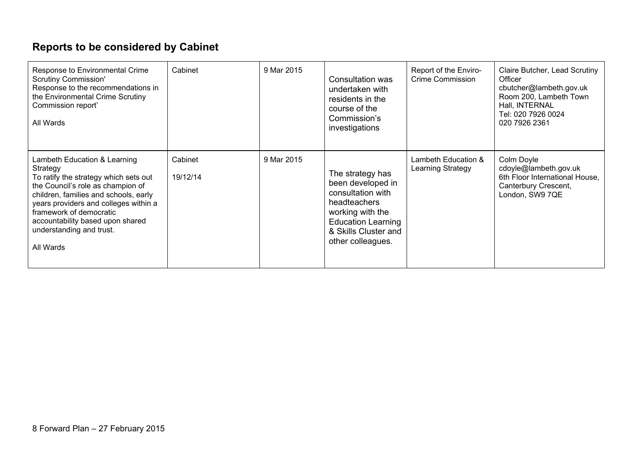# **Reports to be considered by Cabinet**

| Response to Environmental Crime<br><b>Scrutiny Commission'</b><br>Response to the recommendations in<br>the Environmental Crime Scrutiny<br>Commission report'<br>All Wards                                                                                                                                      | Cabinet             | 9 Mar 2015 | Consultation was<br>undertaken with<br>residents in the<br>course of the<br>Commission's<br>investigations                                                               | Report of the Enviro-<br>Crime Commission | Claire Butcher, Lead Scrutiny<br>Officer<br>cbutcher@lambeth.gov.uk<br>Room 200, Lambeth Town<br>Hall, INTERNAL<br>Tel: 020 7926 0024<br>020 7926 2361 |
|------------------------------------------------------------------------------------------------------------------------------------------------------------------------------------------------------------------------------------------------------------------------------------------------------------------|---------------------|------------|--------------------------------------------------------------------------------------------------------------------------------------------------------------------------|-------------------------------------------|--------------------------------------------------------------------------------------------------------------------------------------------------------|
| Lambeth Education & Learning<br>Strategy<br>To ratify the strategy which sets out<br>the Council's role as champion of<br>children, families and schools, early<br>years providers and colleges within a<br>framework of democratic<br>accountability based upon shared<br>understanding and trust.<br>All Wards | Cabinet<br>19/12/14 | 9 Mar 2015 | The strategy has<br>been developed in<br>consultation with<br>headteachers<br>working with the<br><b>Education Learning</b><br>& Skills Cluster and<br>other colleagues. | Lambeth Education &<br>Learning Strategy  | Colm Doyle<br>cdoyle@lambeth.gov.uk<br>6th Floor International House,<br>Canterbury Crescent,<br>London, SW9 7QE                                       |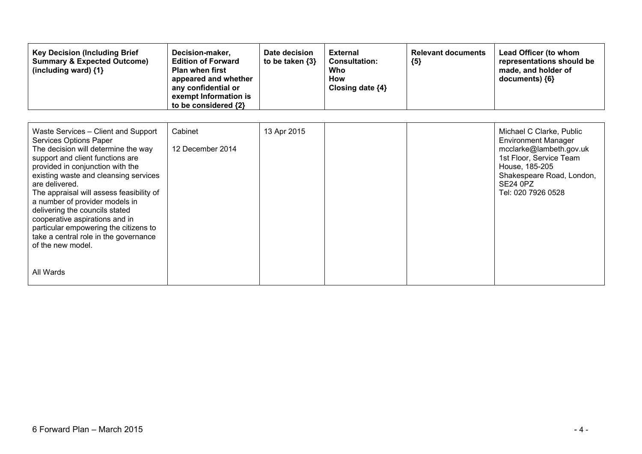| <b>Key Decision (Including Brief)</b><br><b>Summary &amp; Expected Outcome)</b><br>(including ward) $\{1\}$ | Decision-maker,<br><b>Edition of Forward</b><br><b>Plan when first</b><br>appeared and whether<br>any confidential or<br>exempt Information is<br>to be considered $\{2\}$ | Date decision<br>to be taken $\{3\}$ | <b>External</b><br><b>Consultation:</b><br>Who<br>How<br>Closing date ${4}$ | <b>Relevant documents</b><br>${5}$ | Lead Officer (to whom<br>representations should be<br>made, and holder of<br>$documents)$ {6} |
|-------------------------------------------------------------------------------------------------------------|----------------------------------------------------------------------------------------------------------------------------------------------------------------------------|--------------------------------------|-----------------------------------------------------------------------------|------------------------------------|-----------------------------------------------------------------------------------------------|
|-------------------------------------------------------------------------------------------------------------|----------------------------------------------------------------------------------------------------------------------------------------------------------------------------|--------------------------------------|-----------------------------------------------------------------------------|------------------------------------|-----------------------------------------------------------------------------------------------|

| Waste Services - Client and Support<br><b>Services Options Paper</b><br>The decision will determine the way<br>support and client functions are<br>provided in conjunction with the<br>existing waste and cleansing services<br>are delivered.<br>The appraisal will assess feasibility of<br>a number of provider models in<br>delivering the councils stated<br>cooperative aspirations and in<br>particular empowering the citizens to<br>take a central role in the governance<br>of the new model. | Cabinet<br>12 December 2014 | 13 Apr 2015 |  | Michael C Clarke, Public<br><b>Environment Manager</b><br>mcclarke@lambeth.gov.uk<br>1st Floor, Service Team<br>House, 185-205<br>Shakespeare Road, London,<br>SE24 0PZ<br>Tel: 020 7926 0528 |
|---------------------------------------------------------------------------------------------------------------------------------------------------------------------------------------------------------------------------------------------------------------------------------------------------------------------------------------------------------------------------------------------------------------------------------------------------------------------------------------------------------|-----------------------------|-------------|--|-----------------------------------------------------------------------------------------------------------------------------------------------------------------------------------------------|
| All Wards                                                                                                                                                                                                                                                                                                                                                                                                                                                                                               |                             |             |  |                                                                                                                                                                                               |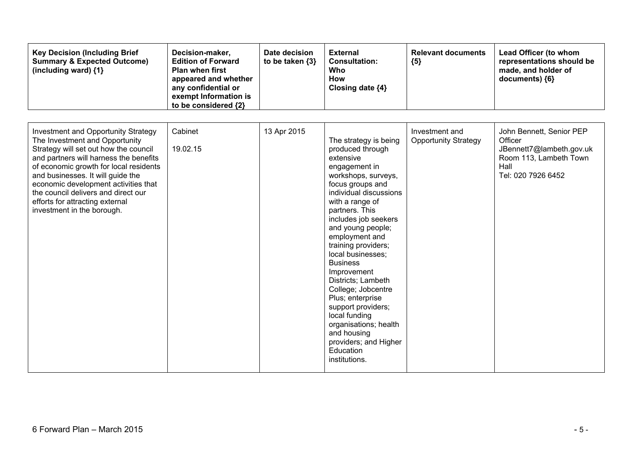| <b>Key Decision (Including Brief</b><br><b>Summary &amp; Expected Outcome)</b><br>(including ward) {1}                                                                                                                                                                                                                                                                                         | Decision-maker,<br><b>Edition of Forward</b><br><b>Plan when first</b><br>appeared and whether<br>any confidential or<br>exempt Information is<br>to be considered {2} | Date decision<br>to be taken $\{3\}$ | <b>External</b><br><b>Consultation:</b><br><b>Who</b><br><b>How</b><br>Closing date {4}                                                                                                                                                                                                                                                                                                                                                                                                                                              | <b>Relevant documents</b><br>${5}$            | Lead Officer (to whom<br>representations should be<br>made, and holder of<br>documents) ${6}$                           |
|------------------------------------------------------------------------------------------------------------------------------------------------------------------------------------------------------------------------------------------------------------------------------------------------------------------------------------------------------------------------------------------------|------------------------------------------------------------------------------------------------------------------------------------------------------------------------|--------------------------------------|--------------------------------------------------------------------------------------------------------------------------------------------------------------------------------------------------------------------------------------------------------------------------------------------------------------------------------------------------------------------------------------------------------------------------------------------------------------------------------------------------------------------------------------|-----------------------------------------------|-------------------------------------------------------------------------------------------------------------------------|
| <b>Investment and Opportunity Strategy</b><br>The Investment and Opportunity<br>Strategy will set out how the council<br>and partners will harness the benefits<br>of economic growth for local residents<br>and businesses. It will guide the<br>economic development activities that<br>the council delivers and direct our<br>efforts for attracting external<br>investment in the borough. | Cabinet<br>19.02.15                                                                                                                                                    | 13 Apr 2015                          | The strategy is being<br>produced through<br>extensive<br>engagement in<br>workshops, surveys,<br>focus groups and<br>individual discussions<br>with a range of<br>partners. This<br>includes job seekers<br>and young people;<br>employment and<br>training providers;<br>local businesses;<br><b>Business</b><br>Improvement<br>Districts; Lambeth<br>College; Jobcentre<br>Plus; enterprise<br>support providers;<br>local funding<br>organisations; health<br>and housing<br>providers; and Higher<br>Education<br>institutions. | Investment and<br><b>Opportunity Strategy</b> | John Bennett, Senior PEP<br>Officer<br>JBennett7@lambeth.gov.uk<br>Room 113, Lambeth Town<br>Hall<br>Tel: 020 7926 6452 |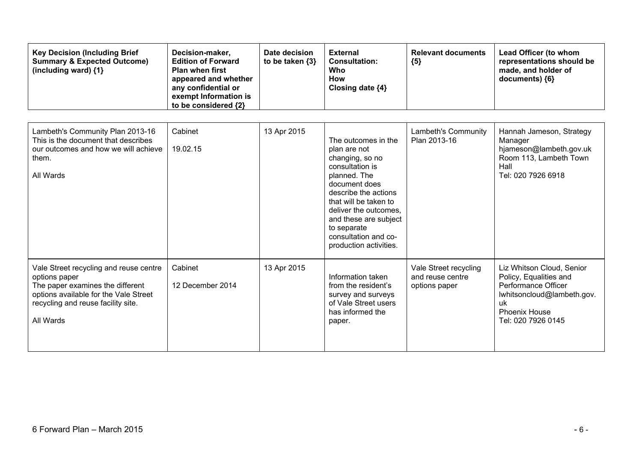| <b>Key Decision (Including Brief</b><br><b>Summary &amp; Expected Outcome)</b><br>(including ward) {1}                                                                                  | Decision-maker,<br><b>Edition of Forward</b><br><b>Plan when first</b><br>appeared and whether<br>any confidential or<br>exempt Information is<br>to be considered {2} | Date decision<br>to be taken $\{3\}$ | <b>External</b><br><b>Consultation:</b><br>Who<br><b>How</b><br>Closing date {4}                                                                                                                                                                                               | <b>Relevant documents</b><br>${5}$                         | Lead Officer (to whom<br>representations should be<br>made, and holder of<br>documents) {6}                                                                  |
|-----------------------------------------------------------------------------------------------------------------------------------------------------------------------------------------|------------------------------------------------------------------------------------------------------------------------------------------------------------------------|--------------------------------------|--------------------------------------------------------------------------------------------------------------------------------------------------------------------------------------------------------------------------------------------------------------------------------|------------------------------------------------------------|--------------------------------------------------------------------------------------------------------------------------------------------------------------|
| Lambeth's Community Plan 2013-16<br>This is the document that describes<br>our outcomes and how we will achieve<br>them.<br>All Wards                                                   | Cabinet<br>19.02.15                                                                                                                                                    | 13 Apr 2015                          | The outcomes in the<br>plan are not<br>changing, so no<br>consultation is<br>planned. The<br>document does<br>describe the actions<br>that will be taken to<br>deliver the outcomes,<br>and these are subject<br>to separate<br>consultation and co-<br>production activities. | Lambeth's Community<br>Plan 2013-16                        | Hannah Jameson, Strategy<br>Manager<br>hjameson@lambeth.gov.uk<br>Room 113, Lambeth Town<br>Hall<br>Tel: 020 7926 6918                                       |
| Vale Street recycling and reuse centre<br>options paper<br>The paper examines the different<br>options available for the Vale Street<br>recycling and reuse facility site.<br>All Wards | Cabinet<br>12 December 2014                                                                                                                                            | 13 Apr 2015                          | Information taken<br>from the resident's<br>survey and surveys<br>of Vale Street users<br>has informed the<br>paper.                                                                                                                                                           | Vale Street recycling<br>and reuse centre<br>options paper | Liz Whitson Cloud, Senior<br>Policy, Equalities and<br>Performance Officer<br>lwhitsoncloud@lambeth.gov.<br>uk<br><b>Phoenix House</b><br>Tel: 020 7926 0145 |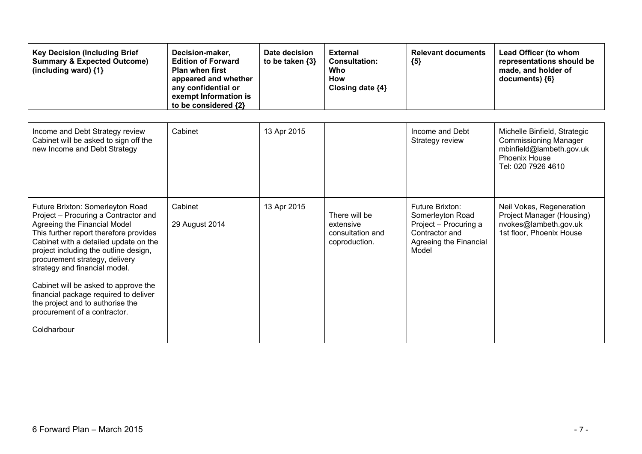| <b>Key Decision (Including Brief</b><br><b>Summary &amp; Expected Outcome)</b><br>(including ward) {1}                                                                                                                                                                                                  | Decision-maker,<br><b>Edition of Forward</b><br><b>Plan when first</b><br>appeared and whether<br>any confidential or<br>exempt Information is<br>to be considered {2} | Date decision<br>to be taken $\{3\}$ | <b>External</b><br><b>Consultation:</b><br><b>Who</b><br>How<br>Closing date {4} | <b>Relevant documents</b><br>${5}$                                                                                | Lead Officer (to whom<br>representations should be<br>made, and holder of<br>documents) {6}                                     |
|---------------------------------------------------------------------------------------------------------------------------------------------------------------------------------------------------------------------------------------------------------------------------------------------------------|------------------------------------------------------------------------------------------------------------------------------------------------------------------------|--------------------------------------|----------------------------------------------------------------------------------|-------------------------------------------------------------------------------------------------------------------|---------------------------------------------------------------------------------------------------------------------------------|
| Income and Debt Strategy review<br>Cabinet will be asked to sign off the<br>new Income and Debt Strategy                                                                                                                                                                                                | Cabinet                                                                                                                                                                | 13 Apr 2015                          |                                                                                  | Income and Debt<br>Strategy review                                                                                | Michelle Binfield, Strategic<br><b>Commissioning Manager</b><br>mbinfield@lambeth.gov.uk<br>Phoenix House<br>Tel: 020 7926 4610 |
| Future Brixton: Somerleyton Road<br>Project - Procuring a Contractor and<br>Agreeing the Financial Model<br>This further report therefore provides<br>Cabinet with a detailed update on the<br>project including the outline design,<br>procurement strategy, delivery<br>strategy and financial model. | Cabinet<br>29 August 2014                                                                                                                                              | 13 Apr 2015                          | There will be<br>extensive<br>consultation and<br>coproduction.                  | Future Brixton:<br>Somerleyton Road<br>Project - Procuring a<br>Contractor and<br>Agreeing the Financial<br>Model | Neil Vokes, Regeneration<br>Project Manager (Housing)<br>nvokes@lambeth.gov.uk<br>1st floor, Phoenix House                      |
| Cabinet will be asked to approve the<br>financial package required to deliver<br>the project and to authorise the<br>procurement of a contractor.<br>Coldharbour                                                                                                                                        |                                                                                                                                                                        |                                      |                                                                                  |                                                                                                                   |                                                                                                                                 |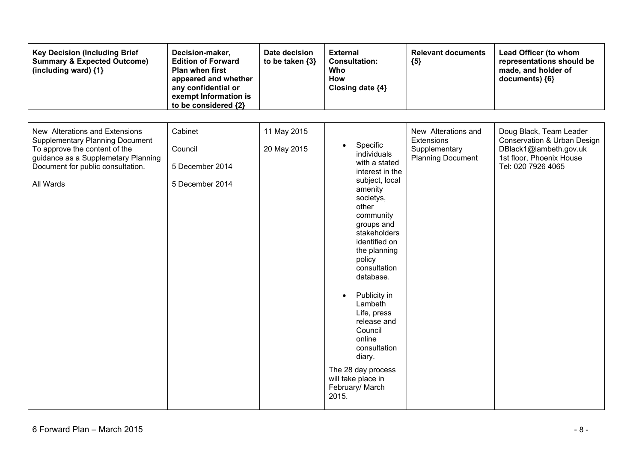| <b>Key Decision (Including Brief</b><br><b>Summary &amp; Expected Outcome)</b><br>(including ward) {1}                                                                                             | Decision-maker,<br><b>Edition of Forward</b><br><b>Plan when first</b><br>appeared and whether<br>any confidential or<br>exempt Information is<br>to be considered {2} | Date decision<br>to be taken {3} | <b>External</b><br><b>Consultation:</b><br>Who<br>How<br>Closing date {4}                                                                                                                                                                                                                                                                                                                                         | <b>Relevant documents</b><br>${5}$                                             | Lead Officer (to whom<br>representations should be<br>made, and holder of<br>documents) {6}                                        |
|----------------------------------------------------------------------------------------------------------------------------------------------------------------------------------------------------|------------------------------------------------------------------------------------------------------------------------------------------------------------------------|----------------------------------|-------------------------------------------------------------------------------------------------------------------------------------------------------------------------------------------------------------------------------------------------------------------------------------------------------------------------------------------------------------------------------------------------------------------|--------------------------------------------------------------------------------|------------------------------------------------------------------------------------------------------------------------------------|
| New Alterations and Extensions<br><b>Supplementary Planning Document</b><br>To approve the content of the<br>guidance as a Supplemetary Planning<br>Document for public consultation.<br>All Wards | Cabinet<br>Council<br>5 December 2014<br>5 December 2014                                                                                                               | 11 May 2015<br>20 May 2015       | Specific<br>individuals<br>with a stated<br>interest in the<br>subject, local<br>amenity<br>societys,<br>other<br>community<br>groups and<br>stakeholders<br>identified on<br>the planning<br>policy<br>consultation<br>database.<br>Publicity in<br>Lambeth<br>Life, press<br>release and<br>Council<br>online<br>consultation<br>diary.<br>The 28 day process<br>will take place in<br>February/ March<br>2015. | New Alterations and<br>Extensions<br>Supplementary<br><b>Planning Document</b> | Doug Black, Team Leader<br>Conservation & Urban Design<br>DBlack1@lambeth.gov.uk<br>1st floor, Phoenix House<br>Tel: 020 7926 4065 |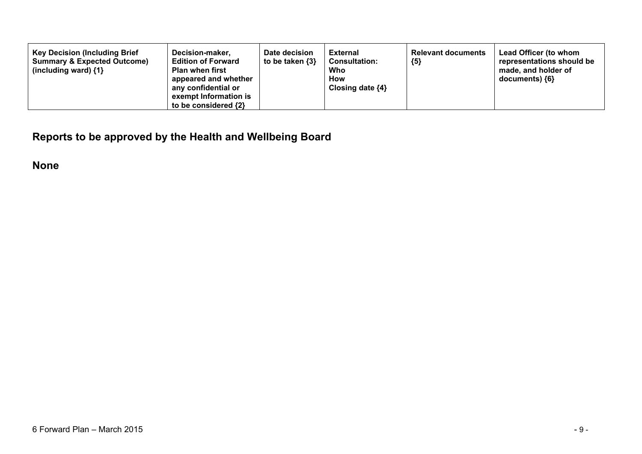| <b>Key Decision (Including Brief</b><br>Decision-maker,<br><b>Summary &amp; Expected Outcome)</b><br><b>Edition of Forward</b><br><b>Plan when first</b><br>(including ward) $\{1\}$<br>appeared and whether<br>any confidential or<br>exempt Information is<br>to be considered {2} | Date decision<br>to be taken $\{3\}$ | <b>External</b><br><b>Consultation:</b><br>Who<br>How<br>Closing date $\{4\}$ | <b>Relevant documents</b><br>${5}$ | Lead Officer (to whom<br>representations should be<br>made, and holder of<br>$documents)$ {6} |
|--------------------------------------------------------------------------------------------------------------------------------------------------------------------------------------------------------------------------------------------------------------------------------------|--------------------------------------|-------------------------------------------------------------------------------|------------------------------------|-----------------------------------------------------------------------------------------------|
|--------------------------------------------------------------------------------------------------------------------------------------------------------------------------------------------------------------------------------------------------------------------------------------|--------------------------------------|-------------------------------------------------------------------------------|------------------------------------|-----------------------------------------------------------------------------------------------|

**Reports to be approved by the Health and Wellbeing Board**

**None**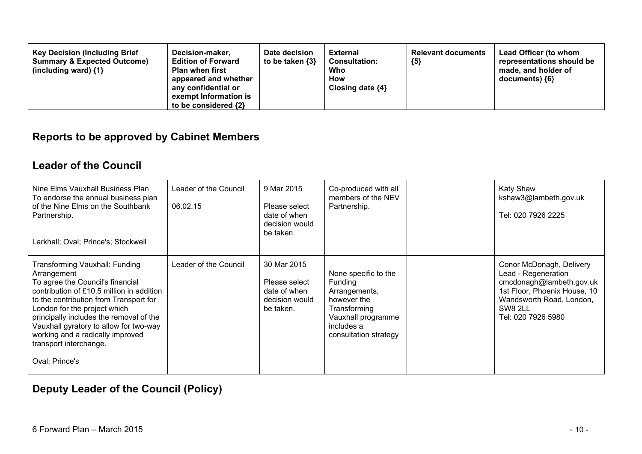### **Reports to be approved by Cabinet Members**

### **Leader of the Council**

| Nine Elms Vauxhall Business Plan<br>To endorse the annual business plan<br>of the Nine Elms on the Southbank<br>Partnership.<br>Larkhall; Oval; Prince's; Stockwell                                                                                                                                                                                                           | Leader of the Council<br>06.02.15 | 9 Mar 2015<br>Please select<br>date of when<br>decision would<br>be taken.  | Co-produced with all<br>members of the NEV<br>Partnership.                                                                                   | <b>Katy Shaw</b><br>kshaw3@lambeth.gov.uk<br>Tel: 020 7926 2225                                                                                                                 |
|-------------------------------------------------------------------------------------------------------------------------------------------------------------------------------------------------------------------------------------------------------------------------------------------------------------------------------------------------------------------------------|-----------------------------------|-----------------------------------------------------------------------------|----------------------------------------------------------------------------------------------------------------------------------------------|---------------------------------------------------------------------------------------------------------------------------------------------------------------------------------|
| Transforming Vauxhall: Funding<br>Arrangement<br>To agree the Council's financial<br>contribution of £10.5 million in addition<br>to the contribution from Transport for<br>London for the project which<br>principally includes the removal of the<br>Vauxhall gyratory to allow for two-way<br>working and a radically improved<br>transport interchange.<br>Oval; Prince's | Leader of the Council             | 30 Mar 2015<br>Please select<br>date of when<br>decision would<br>be taken. | None specific to the<br>Funding<br>Arrangements,<br>however the<br>Transforming<br>Vauxhall programme<br>includes a<br>consultation strategy | Conor McDonagh, Delivery<br>Lead - Regeneration<br>cmcdonagh@lambeth.gov.uk<br>1st Floor, Phoenix House, 10<br>Wandsworth Road, London,<br><b>SW8 2LL</b><br>Tel: 020 7926 5980 |

## **Deputy Leader of the Council (Policy)**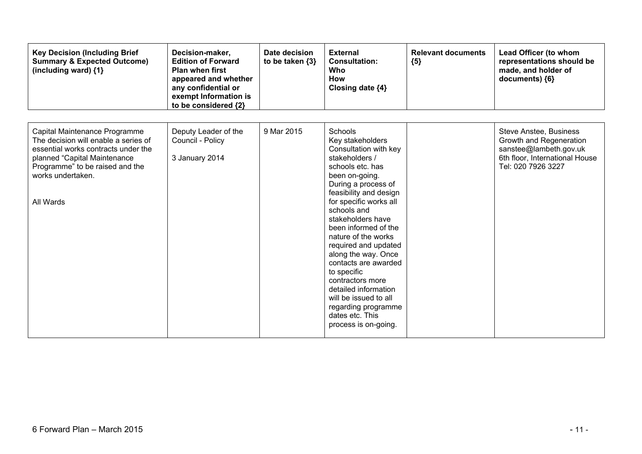| <b>Key Decision (Including Brief</b><br><b>Summary &amp; Expected Outcome)</b><br>(including ward) {1}                                                                                                            | Decision-maker,<br><b>Edition of Forward</b><br><b>Plan when first</b><br>appeared and whether<br>any confidential or<br>exempt Information is<br>to be considered {2} | Date decision<br>to be taken $\{3\}$ | <b>External</b><br><b>Consultation:</b><br><b>Who</b><br>How<br>Closing date {4}                                                                                                                                                                                                                                                                                                                                                                                                                               | <b>Relevant documents</b><br>${5}$ | Lead Officer (to whom<br>representations should be<br>made, and holder of<br>documents) {6}                                                |
|-------------------------------------------------------------------------------------------------------------------------------------------------------------------------------------------------------------------|------------------------------------------------------------------------------------------------------------------------------------------------------------------------|--------------------------------------|----------------------------------------------------------------------------------------------------------------------------------------------------------------------------------------------------------------------------------------------------------------------------------------------------------------------------------------------------------------------------------------------------------------------------------------------------------------------------------------------------------------|------------------------------------|--------------------------------------------------------------------------------------------------------------------------------------------|
| Capital Maintenance Programme<br>The decision will enable a series of<br>essential works contracts under the<br>planned "Capital Maintenance<br>Programme" to be raised and the<br>works undertaken.<br>All Wards | Deputy Leader of the<br>Council - Policy<br>3 January 2014                                                                                                             | 9 Mar 2015                           | <b>Schools</b><br>Key stakeholders<br>Consultation with key<br>stakeholders /<br>schools etc. has<br>been on-going.<br>During a process of<br>feasibility and design<br>for specific works all<br>schools and<br>stakeholders have<br>been informed of the<br>nature of the works<br>required and updated<br>along the way. Once<br>contacts are awarded<br>to specific<br>contractors more<br>detailed information<br>will be issued to all<br>regarding programme<br>dates etc. This<br>process is on-going. |                                    | <b>Steve Anstee, Business</b><br>Growth and Regeneration<br>sanstee@lambeth.gov.uk<br>6th floor, International House<br>Tel: 020 7926 3227 |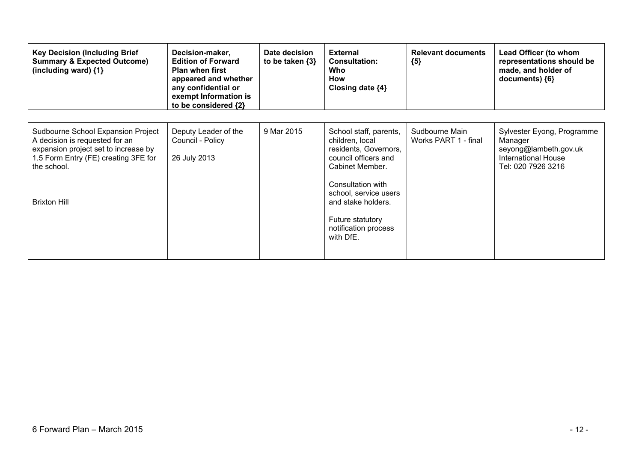| <b>Key Decision (Including Brief</b><br><b>Summary &amp; Expected Outcome)</b><br>(including ward) $\{1\}$                                                                                 | Decision-maker,<br><b>Edition of Forward</b><br><b>Plan when first</b><br>appeared and whether<br>any confidential or<br>exempt Information is<br>to be considered {2} | Date decision<br>to be taken $\{3\}$ | <b>External</b><br><b>Consultation:</b><br>Who<br>How<br>Closing date {4}                                                                                                                                                                  | <b>Relevant documents</b><br>${5}$     | Lead Officer (to whom<br>representations should be<br>made, and holder of<br>documents) ${6}$               |
|--------------------------------------------------------------------------------------------------------------------------------------------------------------------------------------------|------------------------------------------------------------------------------------------------------------------------------------------------------------------------|--------------------------------------|--------------------------------------------------------------------------------------------------------------------------------------------------------------------------------------------------------------------------------------------|----------------------------------------|-------------------------------------------------------------------------------------------------------------|
| Sudbourne School Expansion Project<br>A decision is requested for an<br>expansion project set to increase by<br>1.5 Form Entry (FE) creating 3FE for<br>the school.<br><b>Brixton Hill</b> | Deputy Leader of the<br>Council - Policy<br>26 July 2013                                                                                                               | 9 Mar 2015                           | School staff, parents,<br>children, local<br>residents, Governors,<br>council officers and<br>Cabinet Member.<br>Consultation with<br>school, service users<br>and stake holders.<br>Future statutory<br>notification process<br>with DfE. | Sudbourne Main<br>Works PART 1 - final | Sylvester Eyong, Programme<br>Manager<br>seyong@lambeth.gov.uk<br>International House<br>Tel: 020 7926 3216 |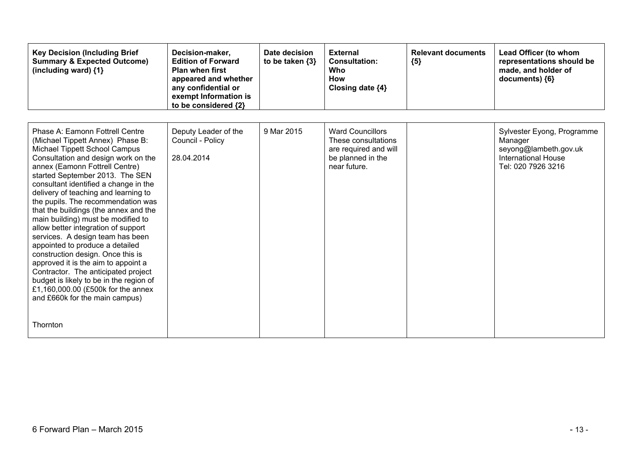| <b>Key Decision (Including Brief</b><br><b>Summary &amp; Expected Outcome)</b><br>(including ward) {1}                                                                                                                                                                                                                                                                                                                                                                                                                                                                                                                                                                                                                                                                                 | Decision-maker,<br><b>Edition of Forward</b><br><b>Plan when first</b><br>appeared and whether<br>any confidential or<br>exempt Information is<br>to be considered {2} | Date decision<br>to be taken $\{3\}$ | <b>External</b><br><b>Consultation:</b><br><b>Who</b><br>How<br>Closing date {4}                             | <b>Relevant documents</b><br>${5}$ | Lead Officer (to whom<br>representations should be<br>made, and holder of<br>documents) ${6}$                      |
|----------------------------------------------------------------------------------------------------------------------------------------------------------------------------------------------------------------------------------------------------------------------------------------------------------------------------------------------------------------------------------------------------------------------------------------------------------------------------------------------------------------------------------------------------------------------------------------------------------------------------------------------------------------------------------------------------------------------------------------------------------------------------------------|------------------------------------------------------------------------------------------------------------------------------------------------------------------------|--------------------------------------|--------------------------------------------------------------------------------------------------------------|------------------------------------|--------------------------------------------------------------------------------------------------------------------|
| Phase A: Eamonn Fottrell Centre<br>(Michael Tippett Annex) Phase B:<br>Michael Tippett School Campus<br>Consultation and design work on the<br>annex (Eamonn Fottrell Centre)<br>started September 2013. The SEN<br>consultant identified a change in the<br>delivery of teaching and learning to<br>the pupils. The recommendation was<br>that the buildings (the annex and the<br>main building) must be modified to<br>allow better integration of support<br>services. A design team has been<br>appointed to produce a detailed<br>construction design. Once this is<br>approved it is the aim to appoint a<br>Contractor. The anticipated project<br>budget is likely to be in the region of<br>£1,160,000.00 (£500k for the annex<br>and £660k for the main campus)<br>Thornton | Deputy Leader of the<br>Council - Policy<br>28.04.2014                                                                                                                 | 9 Mar 2015                           | <b>Ward Councillors</b><br>These consultations<br>are required and will<br>be planned in the<br>near future. |                                    | Sylvester Eyong, Programme<br>Manager<br>seyong@lambeth.gov.uk<br><b>International House</b><br>Tel: 020 7926 3216 |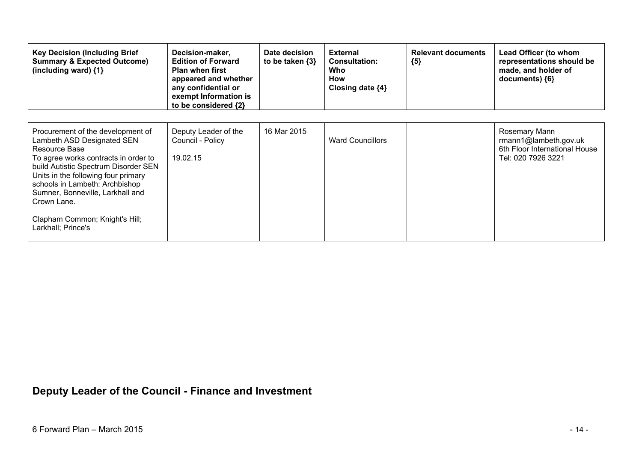| <b>Key Decision (Including Brief</b><br><b>Summary &amp; Expected Outcome)</b><br>(including ward) {1}                                                                                                                                                                                                                                               | Decision-maker,<br><b>Edition of Forward</b><br><b>Plan when first</b><br>appeared and whether<br>any confidential or<br>exempt Information is<br>to be considered {2} | Date decision<br>to be taken $\{3\}$ | <b>External</b><br><b>Consultation:</b><br>Who<br>How<br>Closing date $\{4\}$ | <b>Relevant documents</b><br>${5}$ | Lead Officer (to whom<br>representations should be<br>made, and holder of<br>documents) ${6}$ |
|------------------------------------------------------------------------------------------------------------------------------------------------------------------------------------------------------------------------------------------------------------------------------------------------------------------------------------------------------|------------------------------------------------------------------------------------------------------------------------------------------------------------------------|--------------------------------------|-------------------------------------------------------------------------------|------------------------------------|-----------------------------------------------------------------------------------------------|
| Procurement of the development of<br>Lambeth ASD Designated SEN<br>Resource Base<br>To agree works contracts in order to<br>build Autistic Spectrum Disorder SEN<br>Units in the following four primary<br>schools in Lambeth: Archbishop<br>Sumner, Bonneville, Larkhall and<br>Crown Lane.<br>Clapham Common; Knight's Hill;<br>Larkhall; Prince's | Deputy Leader of the<br>Council - Policy<br>19.02.15                                                                                                                   | 16 Mar 2015                          | <b>Ward Councillors</b>                                                       |                                    | Rosemary Mann<br>rmann1@lambeth.gov.uk<br>6th Floor International House<br>Tel: 020 7926 3221 |

## **Deputy Leader of the Council - Finance and Investment**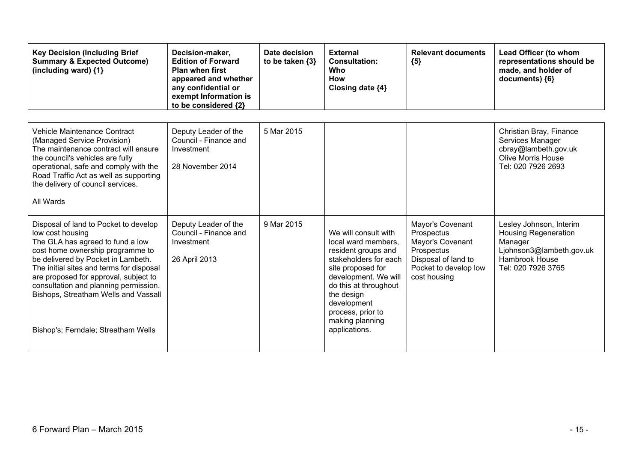| <b>Key Decision (Including Brief</b><br><b>Summary &amp; Expected Outcome)</b><br>(including ward) {1}                                                                                                                                                                                                                                                                               | Decision-maker,<br><b>Edition of Forward</b><br><b>Plan when first</b><br>appeared and whether<br>any confidential or<br>exempt Information is<br>to be considered {2} | Date decision<br>to be taken $\{3\}$ | <b>External</b><br><b>Consultation:</b><br><b>Who</b><br><b>How</b><br>Closing date {4}                                                                                                                                                                 | <b>Relevant documents</b><br>${5}$                                                                                               | Lead Officer (to whom<br>representations should be<br>made, and holder of<br>documents) {6}                                                  |
|--------------------------------------------------------------------------------------------------------------------------------------------------------------------------------------------------------------------------------------------------------------------------------------------------------------------------------------------------------------------------------------|------------------------------------------------------------------------------------------------------------------------------------------------------------------------|--------------------------------------|---------------------------------------------------------------------------------------------------------------------------------------------------------------------------------------------------------------------------------------------------------|----------------------------------------------------------------------------------------------------------------------------------|----------------------------------------------------------------------------------------------------------------------------------------------|
| Vehicle Maintenance Contract<br>(Managed Service Provision)<br>The maintenance contract will ensure<br>the council's vehicles are fully<br>operational, safe and comply with the<br>Road Traffic Act as well as supporting<br>the delivery of council services.<br>All Wards                                                                                                         | Deputy Leader of the<br>Council - Finance and<br>Investment<br>28 November 2014                                                                                        | 5 Mar 2015                           |                                                                                                                                                                                                                                                         |                                                                                                                                  | Christian Bray, Finance<br>Services Manager<br>cbray@lambeth.gov.uk<br><b>Olive Morris House</b><br>Tel: 020 7926 2693                       |
| Disposal of land to Pocket to develop<br>low cost housing<br>The GLA has agreed to fund a low<br>cost home ownership programme to<br>be delivered by Pocket in Lambeth.<br>The initial sites and terms for disposal<br>are proposed for approval, subject to<br>consultation and planning permission.<br>Bishops, Streatham Wells and Vassall<br>Bishop's; Ferndale; Streatham Wells | Deputy Leader of the<br>Council - Finance and<br>Investment<br>26 April 2013                                                                                           | 9 Mar 2015                           | We will consult with<br>local ward members.<br>resident groups and<br>stakeholders for each<br>site proposed for<br>development. We will<br>do this at throughout<br>the design<br>development<br>process, prior to<br>making planning<br>applications. | Mayor's Covenant<br>Prospectus<br>Mayor's Covenant<br>Prospectus<br>Disposal of land to<br>Pocket to develop low<br>cost housing | Lesley Johnson, Interim<br><b>Housing Regeneration</b><br>Manager<br>Ljohnson3@lambeth.gov.uk<br><b>Hambrook House</b><br>Tel: 020 7926 3765 |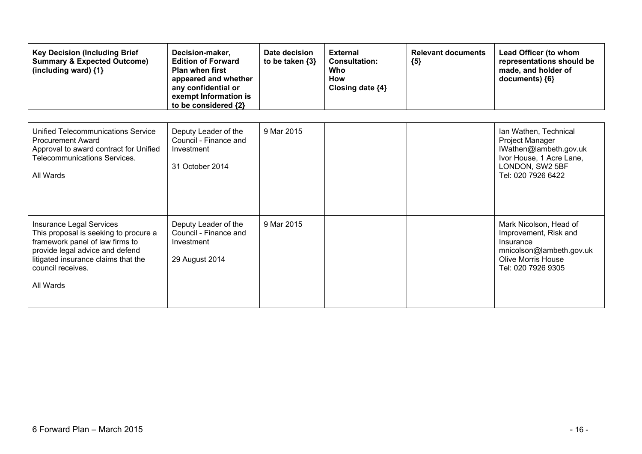| <b>Key Decision (Including Brief</b><br><b>Summary &amp; Expected Outcome)</b><br>(including ward) $\{1\}$                                                                                                       | Decision-maker,<br><b>Edition of Forward</b><br><b>Plan when first</b><br>appeared and whether<br>any confidential or<br>exempt Information is<br>to be considered {2} | Date decision<br>to be taken $\{3\}$ | <b>External</b><br><b>Consultation:</b><br><b>Who</b><br><b>How</b><br>Closing date {4} | <b>Relevant documents</b><br>${5}$ | Lead Officer (to whom<br>representations should be<br>made, and holder of<br>documents) {6}                                                 |
|------------------------------------------------------------------------------------------------------------------------------------------------------------------------------------------------------------------|------------------------------------------------------------------------------------------------------------------------------------------------------------------------|--------------------------------------|-----------------------------------------------------------------------------------------|------------------------------------|---------------------------------------------------------------------------------------------------------------------------------------------|
| Unified Telecommunications Service<br><b>Procurement Award</b><br>Approval to award contract for Unified<br>Telecommunications Services.<br>All Wards                                                            | Deputy Leader of the<br>Council - Finance and<br>Investment<br>31 October 2014                                                                                         | 9 Mar 2015                           |                                                                                         |                                    | Ian Wathen, Technical<br>Project Manager<br>IWathen@lambeth.gov.uk<br>Ivor House, 1 Acre Lane,<br>LONDON, SW2 5BF<br>Tel: 020 7926 6422     |
| Insurance Legal Services<br>This proposal is seeking to procure a<br>framework panel of law firms to<br>provide legal advice and defend<br>litigated insurance claims that the<br>council receives.<br>All Wards | Deputy Leader of the<br>Council - Finance and<br>Investment<br>29 August 2014                                                                                          | 9 Mar 2015                           |                                                                                         |                                    | Mark Nicolson, Head of<br>Improvement, Risk and<br>Insurance<br>mnicolson@lambeth.gov.uk<br><b>Olive Morris House</b><br>Tel: 020 7926 9305 |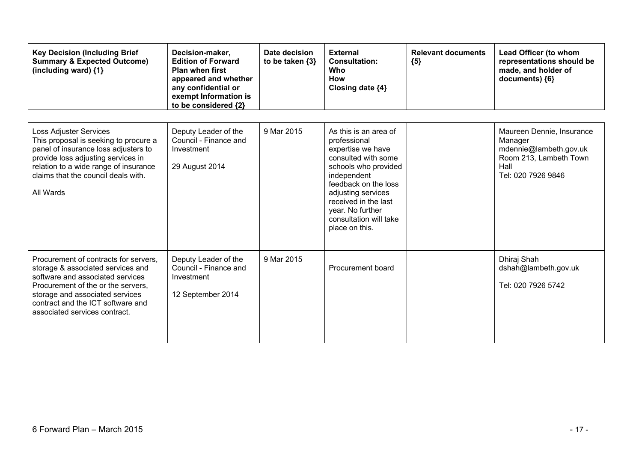| <b>Key Decision (Including Brief</b><br><b>Summary &amp; Expected Outcome)</b><br>(including ward) {1}                                                                                                                                                        | Decision-maker,<br><b>Edition of Forward</b><br><b>Plan when first</b><br>appeared and whether<br>any confidential or<br>exempt Information is<br>to be considered {2} | Date decision<br>to be taken $\{3\}$ | <b>External</b><br><b>Consultation:</b><br>Who<br><b>How</b><br>Closing date {4}                                                                                                                                                                               | <b>Relevant documents</b><br>${5}$ | Lead Officer (to whom<br>representations should be<br>made, and holder of<br>documents) {6}                            |
|---------------------------------------------------------------------------------------------------------------------------------------------------------------------------------------------------------------------------------------------------------------|------------------------------------------------------------------------------------------------------------------------------------------------------------------------|--------------------------------------|----------------------------------------------------------------------------------------------------------------------------------------------------------------------------------------------------------------------------------------------------------------|------------------------------------|------------------------------------------------------------------------------------------------------------------------|
| <b>Loss Adjuster Services</b><br>This proposal is seeking to procure a<br>panel of insurance loss adjusters to<br>provide loss adjusting services in<br>relation to a wide range of insurance<br>claims that the council deals with.<br>All Wards             | Deputy Leader of the<br>Council - Finance and<br>Investment<br>29 August 2014                                                                                          | 9 Mar 2015                           | As this is an area of<br>professional<br>expertise we have<br>consulted with some<br>schools who provided<br>independent<br>feedback on the loss<br>adjusting services<br>received in the last<br>year. No further<br>consultation will take<br>place on this. |                                    | Maureen Dennie, Insurance<br>Manager<br>mdennie@lambeth.gov.uk<br>Room 213, Lambeth Town<br>Hall<br>Tel: 020 7926 9846 |
| Procurement of contracts for servers,<br>storage & associated services and<br>software and associated services<br>Procurement of the or the servers,<br>storage and associated services<br>contract and the ICT software and<br>associated services contract. | Deputy Leader of the<br>Council - Finance and<br>Investment<br>12 September 2014                                                                                       | 9 Mar 2015                           | Procurement board                                                                                                                                                                                                                                              |                                    | Dhiraj Shah<br>dshah@lambeth.gov.uk<br>Tel: 020 7926 5742                                                              |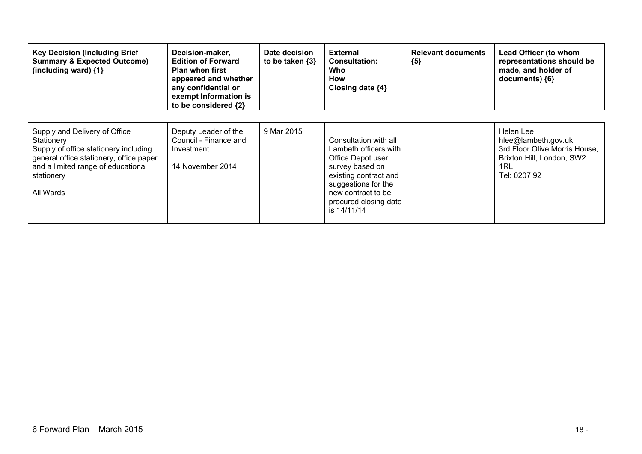| <b>Key Decision (Including Brief</b><br><b>Summary &amp; Expected Outcome)</b><br>(including ward) $\{1\}$                                                                                       | Decision-maker,<br><b>Edition of Forward</b><br><b>Plan when first</b><br>appeared and whether<br>any confidential or<br>exempt Information is<br>to be considered {2} | Date decision<br>to be taken $\{3\}$ | <b>External</b><br><b>Consultation:</b><br>Who<br>How<br>Closing date {4}                                                                                                                            | <b>Relevant documents</b><br>${5}$ | Lead Officer (to whom<br>representations should be<br>made, and holder of<br>documents) ${6}$                         |
|--------------------------------------------------------------------------------------------------------------------------------------------------------------------------------------------------|------------------------------------------------------------------------------------------------------------------------------------------------------------------------|--------------------------------------|------------------------------------------------------------------------------------------------------------------------------------------------------------------------------------------------------|------------------------------------|-----------------------------------------------------------------------------------------------------------------------|
| Supply and Delivery of Office<br>Stationery<br>Supply of office stationery including<br>general office stationery, office paper<br>and a limited range of educational<br>stationery<br>All Wards | Deputy Leader of the<br>Council - Finance and<br>Investment<br>14 November 2014                                                                                        | 9 Mar 2015                           | Consultation with all<br>Lambeth officers with<br>Office Depot user<br>survey based on<br>existing contract and<br>suggestions for the<br>new contract to be<br>procured closing date<br>is 14/11/14 |                                    | Helen Lee<br>hlee@lambeth.gov.uk<br>3rd Floor Olive Morris House,<br>Brixton Hill, London, SW2<br>1RL<br>Tel: 0207 92 |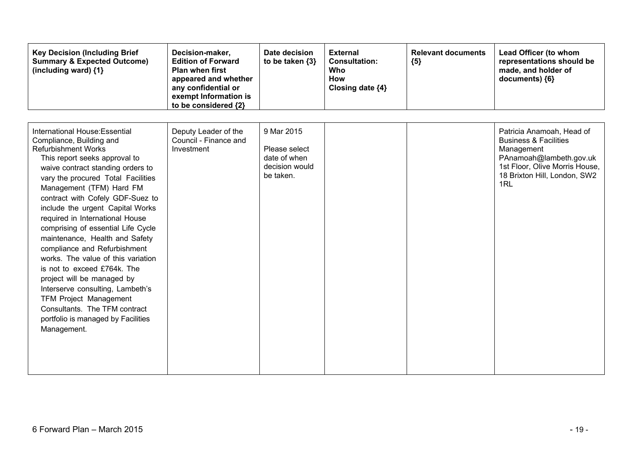| <b>Key Decision (Including Brief</b><br><b>Summary &amp; Expected Outcome)</b><br>(including ward) {1}                                                                                                                                                                                                                                                                                                                                                                                                                                                                                                                                                                                                            | Decision-maker,<br><b>Edition of Forward</b><br><b>Plan when first</b><br>appeared and whether<br>any confidential or<br>exempt Information is<br>to be considered {2} | Date decision<br>to be taken $\{3\}$                                       | <b>External</b><br><b>Consultation:</b><br>Who<br>How<br>Closing date {4} | <b>Relevant documents</b><br>${5}$ | Lead Officer (to whom<br>representations should be<br>made, and holder of<br>documents) {6}                                                                                     |
|-------------------------------------------------------------------------------------------------------------------------------------------------------------------------------------------------------------------------------------------------------------------------------------------------------------------------------------------------------------------------------------------------------------------------------------------------------------------------------------------------------------------------------------------------------------------------------------------------------------------------------------------------------------------------------------------------------------------|------------------------------------------------------------------------------------------------------------------------------------------------------------------------|----------------------------------------------------------------------------|---------------------------------------------------------------------------|------------------------------------|---------------------------------------------------------------------------------------------------------------------------------------------------------------------------------|
| International House: Essential<br>Compliance, Building and<br><b>Refurbishment Works</b><br>This report seeks approval to<br>waive contract standing orders to<br>vary the procured Total Facilities<br>Management (TFM) Hard FM<br>contract with Cofely GDF-Suez to<br>include the urgent Capital Works<br>required in International House<br>comprising of essential Life Cycle<br>maintenance, Health and Safety<br>compliance and Refurbishment<br>works. The value of this variation<br>is not to exceed £764k. The<br>project will be managed by<br>Interserve consulting, Lambeth's<br><b>TFM Project Management</b><br>Consultants. The TFM contract<br>portfolio is managed by Facilities<br>Management. | Deputy Leader of the<br>Council - Finance and<br>Investment                                                                                                            | 9 Mar 2015<br>Please select<br>date of when<br>decision would<br>be taken. |                                                                           |                                    | Patricia Anamoah, Head of<br><b>Business &amp; Facilities</b><br>Management<br>PAnamoah@lambeth.gov.uk<br>1st Floor, Olive Morris House,<br>18 Brixton Hill, London, SW2<br>1RL |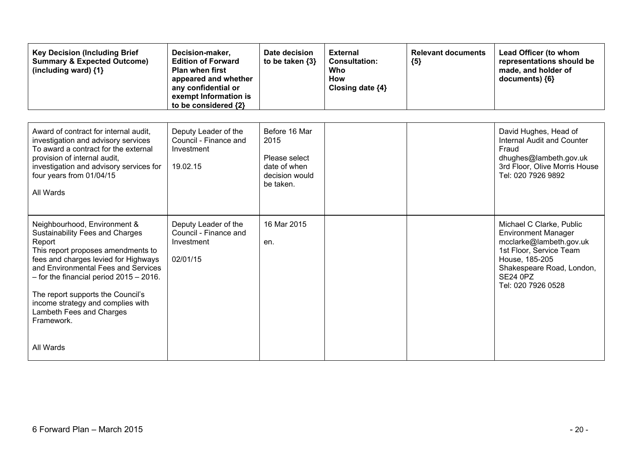| <b>Key Decision (Including Brief</b><br><b>Summary &amp; Expected Outcome)</b><br>(including ward) {1}                                                                                                                                                                                                                                                                   | Decision-maker,<br><b>Edition of Forward</b><br><b>Plan when first</b><br>appeared and whether<br>any confidential or<br>exempt Information is<br>to be considered {2} | Date decision<br>to be taken $\{3\}$                                                  | <b>External</b><br><b>Consultation:</b><br>Who<br><b>How</b><br>Closing date {4} | <b>Relevant documents</b><br>${5}$ | Lead Officer (to whom<br>representations should be<br>made, and holder of<br>documents) {6}                                                                                                          |
|--------------------------------------------------------------------------------------------------------------------------------------------------------------------------------------------------------------------------------------------------------------------------------------------------------------------------------------------------------------------------|------------------------------------------------------------------------------------------------------------------------------------------------------------------------|---------------------------------------------------------------------------------------|----------------------------------------------------------------------------------|------------------------------------|------------------------------------------------------------------------------------------------------------------------------------------------------------------------------------------------------|
| Award of contract for internal audit,<br>investigation and advisory services<br>To award a contract for the external<br>provision of internal audit,<br>investigation and advisory services for<br>four years from 01/04/15<br>All Wards                                                                                                                                 | Deputy Leader of the<br>Council - Finance and<br>Investment<br>19.02.15                                                                                                | Before 16 Mar<br>2015<br>Please select<br>date of when<br>decision would<br>be taken. |                                                                                  |                                    | David Hughes, Head of<br><b>Internal Audit and Counter</b><br>Fraud<br>dhughes@lambeth.gov.uk<br>3rd Floor, Olive Morris House<br>Tel: 020 7926 9892                                                 |
| Neighbourhood, Environment &<br><b>Sustainability Fees and Charges</b><br>Report<br>This report proposes amendments to<br>fees and charges levied for Highways<br>and Environmental Fees and Services<br>$-$ for the financial period 2015 $-$ 2016.<br>The report supports the Council's<br>income strategy and complies with<br>Lambeth Fees and Charges<br>Framework. | Deputy Leader of the<br>Council - Finance and<br>Investment<br>02/01/15                                                                                                | 16 Mar 2015<br>en.                                                                    |                                                                                  |                                    | Michael C Clarke, Public<br><b>Environment Manager</b><br>mcclarke@lambeth.gov.uk<br>1st Floor, Service Team<br>House, 185-205<br>Shakespeare Road, London,<br><b>SE24 0PZ</b><br>Tel: 020 7926 0528 |
| All Wards                                                                                                                                                                                                                                                                                                                                                                |                                                                                                                                                                        |                                                                                       |                                                                                  |                                    |                                                                                                                                                                                                      |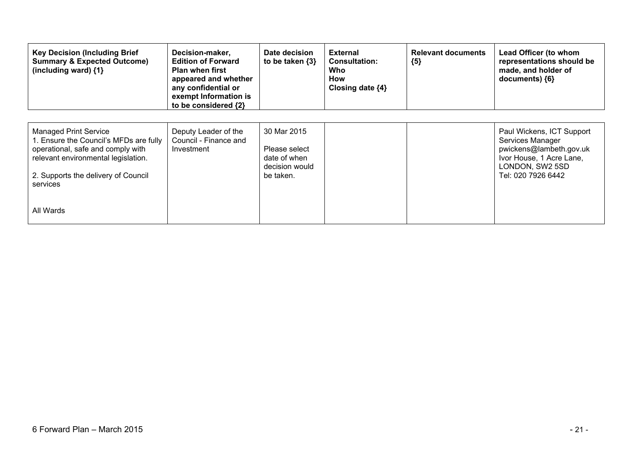| <b>Key Decision (Including Brief</b><br><b>Summary &amp; Expected Outcome)</b><br>(including ward) $\{1\}$                                                                                     | Decision-maker,<br><b>Edition of Forward</b><br><b>Plan when first</b><br>appeared and whether<br>any confidential or<br>exempt Information is<br>to be considered {2} | Date decision<br>to be taken $\{3\}$                                        | <b>External</b><br><b>Consultation:</b><br>Who<br>How<br>Closing date {4} | <b>Relevant documents</b><br>${5}$ | Lead Officer (to whom<br>representations should be<br>made, and holder of<br>documents) ${6}$                                                 |
|------------------------------------------------------------------------------------------------------------------------------------------------------------------------------------------------|------------------------------------------------------------------------------------------------------------------------------------------------------------------------|-----------------------------------------------------------------------------|---------------------------------------------------------------------------|------------------------------------|-----------------------------------------------------------------------------------------------------------------------------------------------|
| Managed Print Service<br>1. Ensure the Council's MFDs are fully<br>operational, safe and comply with<br>relevant environmental legislation.<br>2. Supports the delivery of Council<br>services | Deputy Leader of the<br>Council - Finance and<br>Investment                                                                                                            | 30 Mar 2015<br>Please select<br>date of when<br>decision would<br>be taken. |                                                                           |                                    | Paul Wickens, ICT Support<br>Services Manager<br>pwickens@lambeth.gov.uk<br>Ivor House, 1 Acre Lane,<br>LONDON, SW2 5SD<br>Tel: 020 7926 6442 |
| All Wards                                                                                                                                                                                      |                                                                                                                                                                        |                                                                             |                                                                           |                                    |                                                                                                                                               |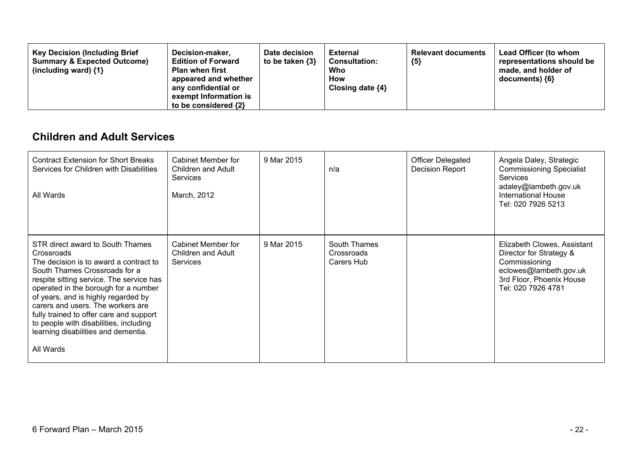| <b>Key Decision (Including Brief</b><br>Decision-maker,<br><b>Summary &amp; Expected Outcome)</b><br><b>Edition of Forward</b><br><b>Plan when first</b><br>(including ward) $\{1\}$<br>appeared and whether<br>any confidential or<br>exempt Information is<br>to be considered $\{2\}$ | Date decision<br>to be taken $\{3\}$ | <b>External</b><br><b>Consultation:</b><br>Who<br>How<br>Closing date $\{4\}$ | <b>Relevant documents</b><br>${5}$ | <b>Lead Officer (to whom</b><br>representations should be<br>made, and holder of<br>documents) {6} |
|------------------------------------------------------------------------------------------------------------------------------------------------------------------------------------------------------------------------------------------------------------------------------------------|--------------------------------------|-------------------------------------------------------------------------------|------------------------------------|----------------------------------------------------------------------------------------------------|
|------------------------------------------------------------------------------------------------------------------------------------------------------------------------------------------------------------------------------------------------------------------------------------------|--------------------------------------|-------------------------------------------------------------------------------|------------------------------------|----------------------------------------------------------------------------------------------------|

### **Children and Adult Services**

| <b>Contract Extension for Short Breaks</b><br>Services for Children with Disabilities<br>All Wards                                                                                                                                                                                                                                                                                                                                 | Cabinet Member for<br>Children and Adult<br><b>Services</b><br>March, 2012 | 9 Mar 2015 | n/a                                      | <b>Officer Delegated</b><br><b>Decision Report</b> | Angela Daley, Strategic<br><b>Commissioning Specialist</b><br><b>Services</b><br>adaley@lambeth.gov.uk<br>International House<br>Tel: 020 7926 5213 |
|------------------------------------------------------------------------------------------------------------------------------------------------------------------------------------------------------------------------------------------------------------------------------------------------------------------------------------------------------------------------------------------------------------------------------------|----------------------------------------------------------------------------|------------|------------------------------------------|----------------------------------------------------|-----------------------------------------------------------------------------------------------------------------------------------------------------|
| STR direct award to South Thames<br>Crossroads<br>The decision is to award a contract to<br>South Thames Crossroads for a<br>respite sitting service. The service has<br>operated in the borough for a number<br>of years, and is highly regarded by<br>carers and users. The workers are<br>fully trained to offer care and support<br>to people with disabilities, including<br>learning disabilities and dementia.<br>All Wards | Cabinet Member for<br>Children and Adult<br><b>Services</b>                | 9 Mar 2015 | South Thames<br>Crossroads<br>Carers Hub |                                                    | Elizabeth Clowes, Assistant<br>Director for Strategy &<br>Commissioning<br>eclowes@lambeth.gov.uk<br>3rd Floor, Phoenix House<br>Tel: 020 7926 4781 |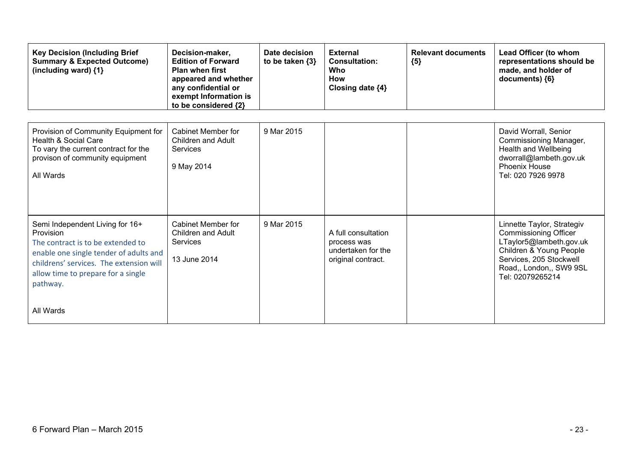| <b>Key Decision (Including Brief</b><br><b>Summary &amp; Expected Outcome)</b><br>(including ward) {1}                                                                                                                                | Decision-maker,<br><b>Edition of Forward</b><br><b>Plan when first</b><br>appeared and whether<br>any confidential or<br>exempt Information is<br>to be considered {2} | Date decision<br>to be taken $\{3\}$ | <b>External</b><br><b>Consultation:</b><br>Who<br><b>How</b><br>Closing date {4} | <b>Relevant documents</b><br>${5}$ | Lead Officer (to whom<br>representations should be<br>made, and holder of<br>documents) ${6}$                                                                                              |
|---------------------------------------------------------------------------------------------------------------------------------------------------------------------------------------------------------------------------------------|------------------------------------------------------------------------------------------------------------------------------------------------------------------------|--------------------------------------|----------------------------------------------------------------------------------|------------------------------------|--------------------------------------------------------------------------------------------------------------------------------------------------------------------------------------------|
| Provision of Community Equipment for<br>Health & Social Care<br>To vary the current contract for the<br>provison of community equipment<br>All Wards                                                                                  | <b>Cabinet Member for</b><br><b>Children and Adult</b><br>Services<br>9 May 2014                                                                                       | 9 Mar 2015                           |                                                                                  |                                    | David Worrall, Senior<br>Commissioning Manager,<br>Health and Wellbeing<br>dworrall@lambeth.gov.uk<br><b>Phoenix House</b><br>Tel: 020 7926 9978                                           |
| Semi Independent Living for 16+<br>Provision<br>The contract is to be extended to<br>enable one single tender of adults and<br>childrens' services. The extension will<br>allow time to prepare for a single<br>pathway.<br>All Wards | <b>Cabinet Member for</b><br>Children and Adult<br>Services<br>13 June 2014                                                                                            | 9 Mar 2015                           | A full consultation<br>process was<br>undertaken for the<br>original contract.   |                                    | Linnette Taylor, Strategiv<br><b>Commissioning Officer</b><br>LTaylor5@lambeth.gov.uk<br>Children & Young People<br>Services, 205 Stockwell<br>Road,, London,, SW9 9SL<br>Tel: 02079265214 |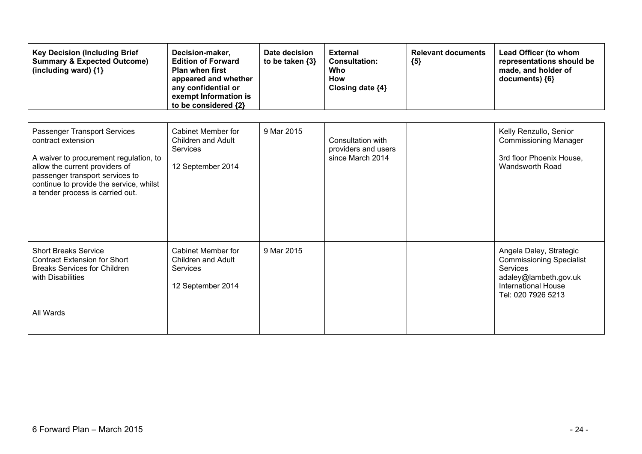| <b>Key Decision (Including Brief</b><br><b>Summary &amp; Expected Outcome)</b><br>(including ward) {1}                                                                                                                                           | Decision-maker,<br><b>Edition of Forward</b><br><b>Plan when first</b><br>appeared and whether<br>any confidential or<br>exempt Information is<br>to be considered {2} | Date decision<br>to be taken $\{3\}$ | <b>External</b><br><b>Consultation:</b><br>Who<br><b>How</b><br>Closing date {4} | <b>Relevant documents</b><br>${5}$ | Lead Officer (to whom<br>representations should be<br>made, and holder of<br>documents) {6}                                                                |
|--------------------------------------------------------------------------------------------------------------------------------------------------------------------------------------------------------------------------------------------------|------------------------------------------------------------------------------------------------------------------------------------------------------------------------|--------------------------------------|----------------------------------------------------------------------------------|------------------------------------|------------------------------------------------------------------------------------------------------------------------------------------------------------|
| Passenger Transport Services<br>contract extension<br>A waiver to procurement regulation, to<br>allow the current providers of<br>passenger transport services to<br>continue to provide the service, whilst<br>a tender process is carried out. | <b>Cabinet Member for</b><br>Children and Adult<br>Services<br>12 September 2014                                                                                       | 9 Mar 2015                           | Consultation with<br>providers and users<br>since March 2014                     |                                    | Kelly Renzullo, Senior<br><b>Commissioning Manager</b><br>3rd floor Phoenix House,<br>Wandsworth Road                                                      |
| <b>Short Breaks Service</b><br><b>Contract Extension for Short</b><br><b>Breaks Services for Children</b><br>with Disabilities<br>All Wards                                                                                                      | Cabinet Member for<br><b>Children and Adult</b><br>Services<br>12 September 2014                                                                                       | 9 Mar 2015                           |                                                                                  |                                    | Angela Daley, Strategic<br><b>Commissioning Specialist</b><br><b>Services</b><br>adaley@lambeth.gov.uk<br><b>International House</b><br>Tel: 020 7926 5213 |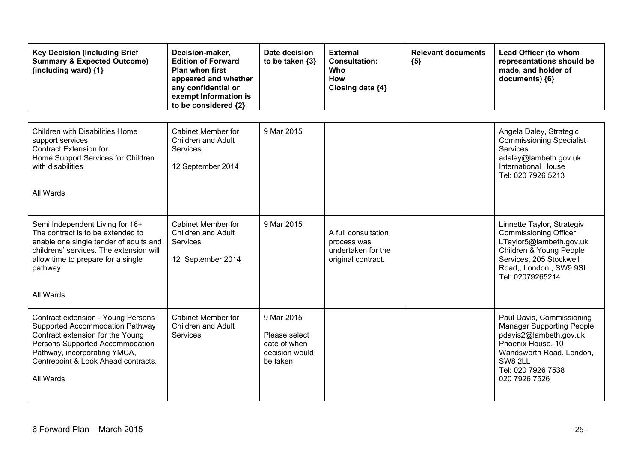| <b>Key Decision (Including Brief</b><br><b>Summary &amp; Expected Outcome)</b><br>(including ward) $\{1\}$                                                                                                                       | Decision-maker,<br><b>Edition of Forward</b><br>Plan when first<br>appeared and whether<br>any confidential or<br>exempt Information is<br>to be considered {2} | Date decision<br>to be taken {3}                                           | <b>External</b><br><b>Consultation:</b><br><b>Who</b><br>How<br>Closing date {4} | <b>Relevant documents</b><br>${5}$ | Lead Officer (to whom<br>representations should be<br>made, and holder of<br>documents) {6}                                                                                                |
|----------------------------------------------------------------------------------------------------------------------------------------------------------------------------------------------------------------------------------|-----------------------------------------------------------------------------------------------------------------------------------------------------------------|----------------------------------------------------------------------------|----------------------------------------------------------------------------------|------------------------------------|--------------------------------------------------------------------------------------------------------------------------------------------------------------------------------------------|
| Children with Disabilities Home<br>support services<br><b>Contract Extension for</b><br>Home Support Services for Children<br>with disabilities<br>All Wards                                                                     | Cabinet Member for<br><b>Children and Adult</b><br><b>Services</b><br>12 September 2014                                                                         | 9 Mar 2015                                                                 |                                                                                  |                                    | Angela Daley, Strategic<br><b>Commissioning Specialist</b><br>Services<br>adaley@lambeth.gov.uk<br><b>International House</b><br>Tel: 020 7926 5213                                        |
| Semi Independent Living for 16+<br>The contract is to be extended to<br>enable one single tender of adults and<br>childrens' services. The extension will<br>allow time to prepare for a single<br>pathway<br>All Wards          | <b>Cabinet Member for</b><br><b>Children and Adult</b><br>Services<br>12 September 2014                                                                         | 9 Mar 2015                                                                 | A full consultation<br>process was<br>undertaken for the<br>original contract.   |                                    | Linnette Taylor, Strategiv<br><b>Commissioning Officer</b><br>LTaylor5@lambeth.gov.uk<br>Children & Young People<br>Services, 205 Stockwell<br>Road,, London,, SW9 9SL<br>Tel: 02079265214 |
| Contract extension - Young Persons<br>Supported Accommodation Pathway<br>Contract extension for the Young<br>Persons Supported Accommodation<br>Pathway, incorporating YMCA,<br>Centrepoint & Look Ahead contracts.<br>All Wards | <b>Cabinet Member for</b><br><b>Children and Adult</b><br><b>Services</b>                                                                                       | 9 Mar 2015<br>Please select<br>date of when<br>decision would<br>be taken. |                                                                                  |                                    | Paul Davis, Commissioning<br><b>Manager Supporting People</b><br>pdavis2@lambeth.gov.uk<br>Phoenix House, 10<br>Wandsworth Road, London,<br>SW8 2LL<br>Tel: 020 7926 7538<br>020 7926 7526 |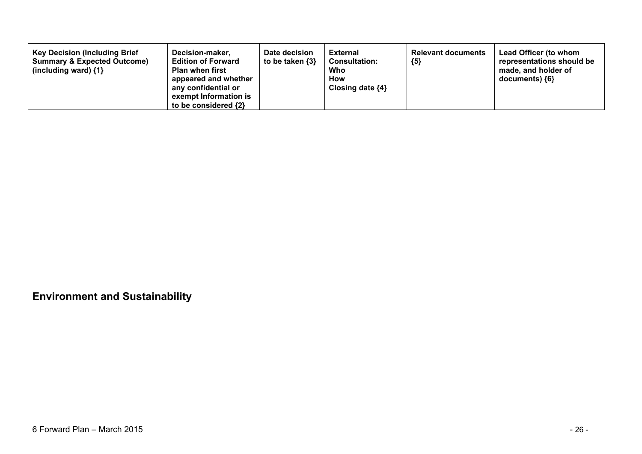| <b>Key Decision (Including Brief</b><br><b>Summary &amp; Expected Outcome)</b><br>(including ward) $\{1\}$ | Decision-maker,<br><b>Edition of Forward</b><br><b>Plan when first</b><br>appeared and whether<br>any confidential or<br>exempt Information is<br>to be considered {2} | Date decision<br>to be taken {3} | <b>External</b><br><b>Consultation:</b><br>Who<br>How<br>Closing date $\{4\}$ | <b>Relevant documents</b><br>${5}$ | Lead Officer (to whom<br>representations should be<br>made, and holder of<br>documents) {6} |
|------------------------------------------------------------------------------------------------------------|------------------------------------------------------------------------------------------------------------------------------------------------------------------------|----------------------------------|-------------------------------------------------------------------------------|------------------------------------|---------------------------------------------------------------------------------------------|
|------------------------------------------------------------------------------------------------------------|------------------------------------------------------------------------------------------------------------------------------------------------------------------------|----------------------------------|-------------------------------------------------------------------------------|------------------------------------|---------------------------------------------------------------------------------------------|

**Environment and Sustainability**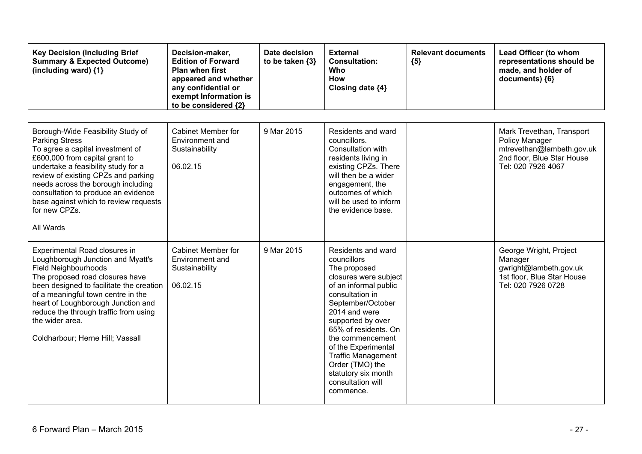| <b>Key Decision (Including Brief</b><br><b>Summary &amp; Expected Outcome)</b><br>(including ward) $\{1\}$                                                                                                                                                                                                                                                         | Decision-maker,<br><b>Edition of Forward</b><br><b>Plan when first</b><br>appeared and whether<br>any confidential or<br>exempt Information is<br>to be considered {2} | Date decision<br>to be taken {3} | <b>External</b><br><b>Consultation:</b><br>Who<br><b>How</b><br>Closing date {4}                                                                                                                                                                                                                                                                              | <b>Relevant documents</b><br>${5}$ | Lead Officer (to whom<br>representations should be<br>made, and holder of<br>documents) {6}                                  |
|--------------------------------------------------------------------------------------------------------------------------------------------------------------------------------------------------------------------------------------------------------------------------------------------------------------------------------------------------------------------|------------------------------------------------------------------------------------------------------------------------------------------------------------------------|----------------------------------|---------------------------------------------------------------------------------------------------------------------------------------------------------------------------------------------------------------------------------------------------------------------------------------------------------------------------------------------------------------|------------------------------------|------------------------------------------------------------------------------------------------------------------------------|
| Borough-Wide Feasibility Study of<br><b>Parking Stress</b><br>To agree a capital investment of<br>£600,000 from capital grant to<br>undertake a feasibility study for a<br>review of existing CPZs and parking<br>needs across the borough including<br>consultation to produce an evidence<br>base against which to review requests<br>for new CPZs.<br>All Wards | <b>Cabinet Member for</b><br>Environment and<br>Sustainability<br>06.02.15                                                                                             | 9 Mar 2015                       | Residents and ward<br>councillors.<br>Consultation with<br>residents living in<br>existing CPZs. There<br>will then be a wider<br>engagement, the<br>outcomes of which<br>will be used to inform<br>the evidence base.                                                                                                                                        |                                    | Mark Trevethan, Transport<br>Policy Manager<br>mtrevethan@lambeth.gov.uk<br>2nd floor, Blue Star House<br>Tel: 020 7926 4067 |
| Experimental Road closures in<br>Loughborough Junction and Myatt's<br>Field Neighbourhoods<br>The proposed road closures have<br>been designed to facilitate the creation<br>of a meaningful town centre in the<br>heart of Loughborough Junction and<br>reduce the through traffic from using<br>the wider area.<br>Coldharbour; Herne Hill; Vassall              | <b>Cabinet Member for</b><br>Environment and<br>Sustainability<br>06.02.15                                                                                             | 9 Mar 2015                       | Residents and ward<br>councillors<br>The proposed<br>closures were subject<br>of an informal public<br>consultation in<br>September/October<br>2014 and were<br>supported by over<br>65% of residents. On<br>the commencement<br>of the Experimental<br><b>Traffic Management</b><br>Order (TMO) the<br>statutory six month<br>consultation will<br>commence. |                                    | George Wright, Project<br>Manager<br>gwright@lambeth.gov.uk<br>1st floor, Blue Star House<br>Tel: 020 7926 0728              |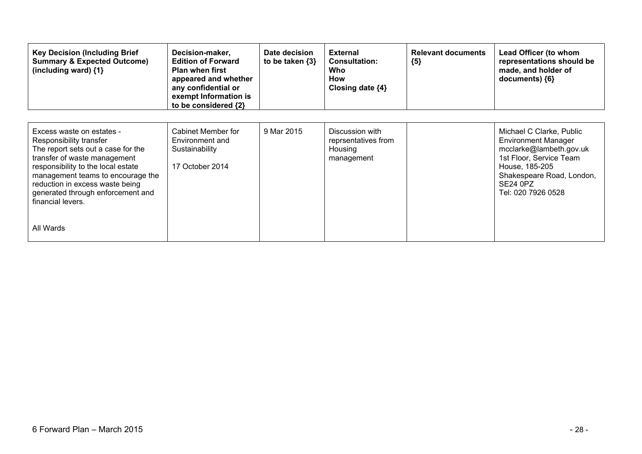| <b>Key Decision (Including Brief</b><br><b>Summary &amp; Expected Outcome)</b><br>(including ward) $\{1\}$                                                                                                                                                                                         | Decision-maker,<br><b>Edition of Forward</b><br><b>Plan when first</b><br>appeared and whether<br>any confidential or<br>exempt Information is<br>to be considered {2} | Date decision<br>to be taken $\{3\}$ | <b>External</b><br><b>Consultation:</b><br>Who<br>How<br>Closing date ${4}$ | <b>Relevant documents</b><br>${5}$ | Lead Officer (to whom<br>representations should be<br>made, and holder of<br>documents) ${6}$                                                                                                 |
|----------------------------------------------------------------------------------------------------------------------------------------------------------------------------------------------------------------------------------------------------------------------------------------------------|------------------------------------------------------------------------------------------------------------------------------------------------------------------------|--------------------------------------|-----------------------------------------------------------------------------|------------------------------------|-----------------------------------------------------------------------------------------------------------------------------------------------------------------------------------------------|
| Excess waste on estates -<br>Responsibility transfer<br>The report sets out a case for the<br>transfer of waste management<br>responsibility to the local estate<br>management teams to encourage the<br>reduction in excess waste being<br>generated through enforcement and<br>financial levers. | Cabinet Member for<br>Environment and<br>Sustainability<br>17 October 2014                                                                                             | 9 Mar 2015                           | Discussion with<br>reprsentatives from<br>Housing<br>management             |                                    | Michael C Clarke, Public<br><b>Environment Manager</b><br>mcclarke@lambeth.gov.uk<br>1st Floor, Service Team<br>House, 185-205<br>Shakespeare Road, London,<br>SE24 0PZ<br>Tel: 020 7926 0528 |
| All Wards                                                                                                                                                                                                                                                                                          |                                                                                                                                                                        |                                      |                                                                             |                                    |                                                                                                                                                                                               |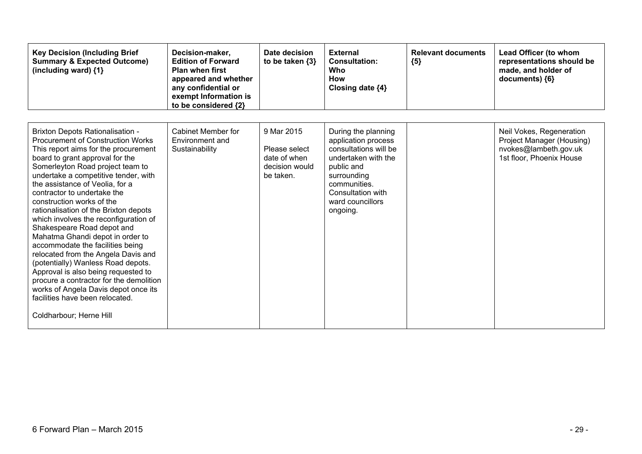| <b>Key Decision (Including Brief</b><br><b>Summary &amp; Expected Outcome)</b><br>(including ward) {1}                                                                                                                                                                                                                                                                                                                                                                                                                                                                                                                                                                                                                                                                                                 | Decision-maker,<br><b>Edition of Forward</b><br><b>Plan when first</b><br>appeared and whether<br>any confidential or<br>exempt Information is<br>to be considered {2} | Date decision<br>to be taken $\{3\}$                                       | <b>External</b><br><b>Consultation:</b><br>Who<br>How<br>Closing date {4}                                                                                                                    | <b>Relevant documents</b><br>${5}$ | Lead Officer (to whom<br>representations should be<br>made, and holder of<br>documents) {6}                |
|--------------------------------------------------------------------------------------------------------------------------------------------------------------------------------------------------------------------------------------------------------------------------------------------------------------------------------------------------------------------------------------------------------------------------------------------------------------------------------------------------------------------------------------------------------------------------------------------------------------------------------------------------------------------------------------------------------------------------------------------------------------------------------------------------------|------------------------------------------------------------------------------------------------------------------------------------------------------------------------|----------------------------------------------------------------------------|----------------------------------------------------------------------------------------------------------------------------------------------------------------------------------------------|------------------------------------|------------------------------------------------------------------------------------------------------------|
| <b>Brixton Depots Rationalisation -</b><br><b>Procurement of Construction Works</b><br>This report aims for the procurement<br>board to grant approval for the<br>Somerleyton Road project team to<br>undertake a competitive tender, with<br>the assistance of Veolia, for a<br>contractor to undertake the<br>construction works of the<br>rationalisation of the Brixton depots<br>which involves the reconfiguration of<br>Shakespeare Road depot and<br>Mahatma Ghandi depot in order to<br>accommodate the facilities being<br>relocated from the Angela Davis and<br>(potentially) Wanless Road depots.<br>Approval is also being requested to<br>procure a contractor for the demolition<br>works of Angela Davis depot once its<br>facilities have been relocated.<br>Coldharbour; Herne Hill | <b>Cabinet Member for</b><br>Environment and<br>Sustainability                                                                                                         | 9 Mar 2015<br>Please select<br>date of when<br>decision would<br>be taken. | During the planning<br>application process<br>consultations will be<br>undertaken with the<br>public and<br>surrounding<br>communities.<br>Consultation with<br>ward councillors<br>ongoing. |                                    | Neil Vokes, Regeneration<br>Project Manager (Housing)<br>nvokes@lambeth.gov.uk<br>1st floor, Phoenix House |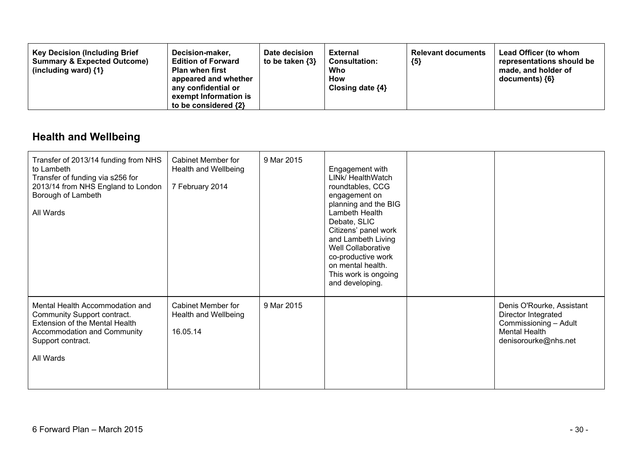| <b>Key Decision (Including Brief</b><br>Decision-maker,<br><b>Summary &amp; Expected Outcome)</b><br><b>Edition of Forward</b><br><b>Plan when first</b><br>(including ward) $\{1\}$<br>appeared and whether<br>any confidential or<br>exempt Information is<br>to be considered {2} | Date decision<br>to be taken {3} | External<br><b>Consultation:</b><br>Who<br>How<br>Closing date $\{4\}$ | <b>Relevant documents</b><br>${5}$ | Lead Officer (to whom<br>representations should be<br>made, and holder of<br>documents) {6} |
|--------------------------------------------------------------------------------------------------------------------------------------------------------------------------------------------------------------------------------------------------------------------------------------|----------------------------------|------------------------------------------------------------------------|------------------------------------|---------------------------------------------------------------------------------------------|
|--------------------------------------------------------------------------------------------------------------------------------------------------------------------------------------------------------------------------------------------------------------------------------------|----------------------------------|------------------------------------------------------------------------|------------------------------------|---------------------------------------------------------------------------------------------|

## **Health and Wellbeing**

| Transfer of 2013/14 funding from NHS<br>to Lambeth<br>Transfer of funding via s256 for<br>2013/14 from NHS England to London<br>Borough of Lambeth<br>All Wards   | Cabinet Member for<br>Health and Wellbeing<br>7 February 2014 | 9 Mar 2015 | Engagement with<br>LINk/ HealthWatch<br>roundtables, CCG<br>engagement on<br>planning and the BIG<br>Lambeth Health<br>Debate, SLIC<br>Citizens' panel work<br>and Lambeth Living<br>Well Collaborative<br>co-productive work<br>on mental health.<br>This work is ongoing<br>and developing. |                                                                                                                           |
|-------------------------------------------------------------------------------------------------------------------------------------------------------------------|---------------------------------------------------------------|------------|-----------------------------------------------------------------------------------------------------------------------------------------------------------------------------------------------------------------------------------------------------------------------------------------------|---------------------------------------------------------------------------------------------------------------------------|
| Mental Health Accommodation and<br>Community Support contract.<br>Extension of the Mental Health<br>Accommodation and Community<br>Support contract.<br>All Wards | <b>Cabinet Member for</b><br>Health and Wellbeing<br>16.05.14 | 9 Mar 2015 |                                                                                                                                                                                                                                                                                               | Denis O'Rourke, Assistant<br>Director Integrated<br>Commissioning - Adult<br><b>Mental Health</b><br>denisorourke@nhs.net |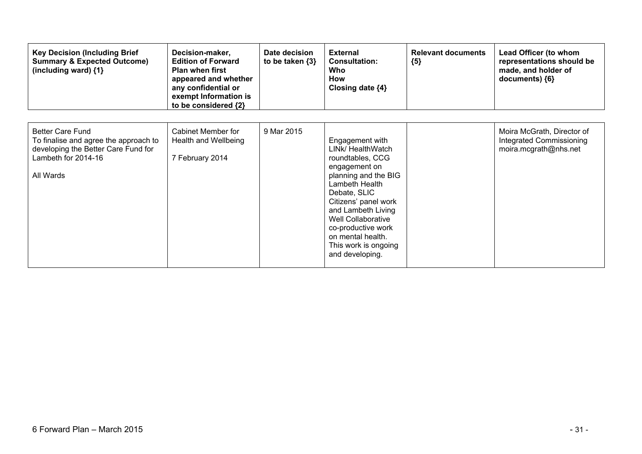| <b>Key Decision (Including Brief</b><br><b>Summary &amp; Expected Outcome)</b><br>(including ward) {1}                                      | Decision-maker,<br><b>Edition of Forward</b><br><b>Plan when first</b><br>appeared and whether<br>any confidential or<br>exempt Information is<br>to be considered {2} | Date decision<br>to be taken $\{3\}$ | <b>External</b><br><b>Consultation:</b><br>Who<br>How<br>Closing date {4}                                                                                                                                                                                                                     | <b>Relevant documents</b><br>${5}$ | Lead Officer (to whom<br>representations should be<br>made, and holder of<br>documents) ${6}$ |
|---------------------------------------------------------------------------------------------------------------------------------------------|------------------------------------------------------------------------------------------------------------------------------------------------------------------------|--------------------------------------|-----------------------------------------------------------------------------------------------------------------------------------------------------------------------------------------------------------------------------------------------------------------------------------------------|------------------------------------|-----------------------------------------------------------------------------------------------|
| <b>Better Care Fund</b><br>To finalise and agree the approach to<br>developing the Better Care Fund for<br>Lambeth for 2014-16<br>All Wards | Cabinet Member for<br>Health and Wellbeing<br>7 February 2014                                                                                                          | 9 Mar 2015                           | Engagement with<br>LINk/ HealthWatch<br>roundtables, CCG<br>engagement on<br>planning and the BIG<br>Lambeth Health<br>Debate, SLIC<br>Citizens' panel work<br>and Lambeth Living<br>Well Collaborative<br>co-productive work<br>on mental health.<br>This work is ongoing<br>and developing. |                                    | Moira McGrath, Director of<br><b>Integrated Commissioning</b><br>moira.mcgrath@nhs.net        |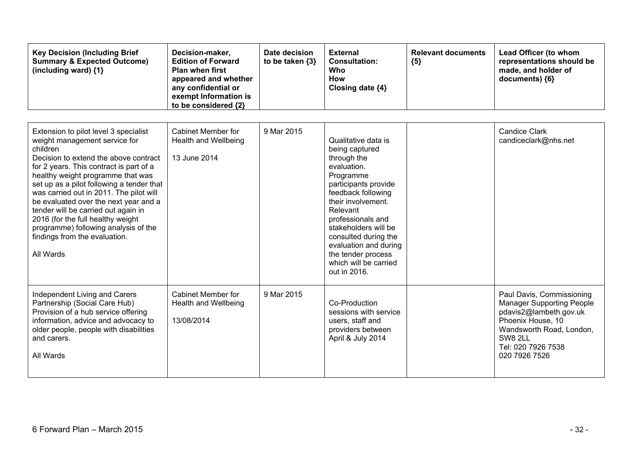| <b>Key Decision (Including Brief</b><br><b>Summary &amp; Expected Outcome)</b><br>(including ward) $\{1\}$                                                                                                                                                                                                                                                                                                                                                                                                     | Decision-maker,<br><b>Edition of Forward</b><br><b>Plan when first</b><br>appeared and whether<br>any confidential or<br>exempt Information is<br>to be considered {2} | Date decision<br>to be taken $\{3\}$ | <b>External</b><br><b>Consultation:</b><br>Who<br><b>How</b><br>Closing date {4}                                                                                                                                                                                                                                              | <b>Relevant documents</b><br>${5}$ | Lead Officer (to whom<br>representations should be<br>made, and holder of<br>documents) {6}                                                                                                |
|----------------------------------------------------------------------------------------------------------------------------------------------------------------------------------------------------------------------------------------------------------------------------------------------------------------------------------------------------------------------------------------------------------------------------------------------------------------------------------------------------------------|------------------------------------------------------------------------------------------------------------------------------------------------------------------------|--------------------------------------|-------------------------------------------------------------------------------------------------------------------------------------------------------------------------------------------------------------------------------------------------------------------------------------------------------------------------------|------------------------------------|--------------------------------------------------------------------------------------------------------------------------------------------------------------------------------------------|
| Extension to pilot level 3 specialist<br>weight management service for<br>children<br>Decision to extend the above contract<br>for 2 years. This contract is part of a<br>healthy weight programme that was<br>set up as a pilot following a tender that<br>was carried out in 2011. The pilot will<br>be evaluated over the next year and a<br>tender will be carried out again in<br>2016 (for the full healthy weight<br>programme) following analysis of the<br>findings from the evaluation.<br>All Wards | <b>Cabinet Member for</b><br>Health and Wellbeing<br>13 June 2014                                                                                                      | 9 Mar 2015                           | Qualitative data is<br>being captured<br>through the<br>evaluation.<br>Programme<br>participants provide<br>feedback following<br>their involvement.<br>Relevant<br>professionals and<br>stakeholders will be<br>consulted during the<br>evaluation and during<br>the tender process<br>which will be carried<br>out in 2016. |                                    | <b>Candice Clark</b><br>candiceclark@nhs.net                                                                                                                                               |
| Independent Living and Carers<br>Partnership (Social Care Hub)<br>Provision of a hub service offering<br>information, advice and advocacy to<br>older people, people with disabilities<br>and carers.<br>All Wards                                                                                                                                                                                                                                                                                             | <b>Cabinet Member for</b><br>Health and Wellbeing<br>13/08/2014                                                                                                        | 9 Mar 2015                           | Co-Production<br>sessions with service<br>users, staff and<br>providers between<br>April & July 2014                                                                                                                                                                                                                          |                                    | Paul Davis, Commissioning<br><b>Manager Supporting People</b><br>pdavis2@lambeth.gov.uk<br>Phoenix House, 10<br>Wandsworth Road, London,<br>SW8 2LL<br>Tel: 020 7926 7538<br>020 7926 7526 |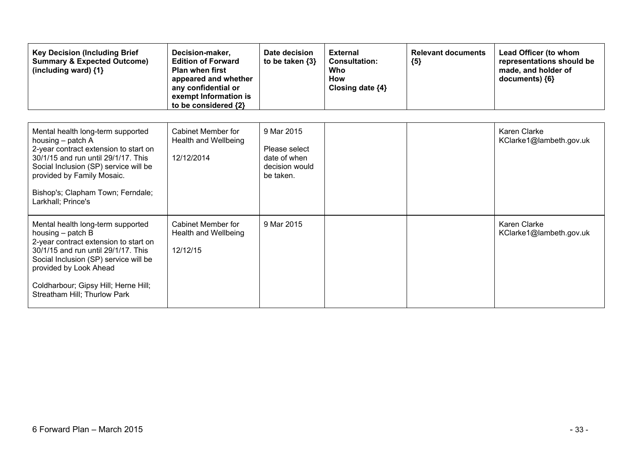| <b>Key Decision (Including Brief</b><br><b>Summary &amp; Expected Outcome)</b><br>(including ward) {1}                                                                                                                                                                              | Decision-maker,<br><b>Edition of Forward</b><br><b>Plan when first</b><br>appeared and whether<br>any confidential or<br>exempt Information is<br>to be considered {2} | Date decision<br>to be taken $\{3\}$                                       | <b>External</b><br><b>Consultation:</b><br>Who<br><b>How</b><br>Closing date {4} | <b>Relevant documents</b><br>${5}$ | Lead Officer (to whom<br>representations should be<br>made, and holder of<br>documents) {6} |
|-------------------------------------------------------------------------------------------------------------------------------------------------------------------------------------------------------------------------------------------------------------------------------------|------------------------------------------------------------------------------------------------------------------------------------------------------------------------|----------------------------------------------------------------------------|----------------------------------------------------------------------------------|------------------------------------|---------------------------------------------------------------------------------------------|
| Mental health long-term supported<br>housing – patch A<br>2-year contract extension to start on<br>30/1/15 and run until 29/1/17. This<br>Social Inclusion (SP) service will be<br>provided by Family Mosaic.<br>Bishop's; Clapham Town; Ferndale;<br>Larkhall; Prince's            | Cabinet Member for<br>Health and Wellbeing<br>12/12/2014                                                                                                               | 9 Mar 2015<br>Please select<br>date of when<br>decision would<br>be taken. |                                                                                  |                                    | Karen Clarke<br>KClarke1@lambeth.gov.uk                                                     |
| Mental health long-term supported<br>housing $-$ patch B<br>2-year contract extension to start on<br>30/1/15 and run until 29/1/17. This<br>Social Inclusion (SP) service will be<br>provided by Look Ahead<br>Coldharbour; Gipsy Hill; Herne Hill;<br>Streatham Hill; Thurlow Park | Cabinet Member for<br>Health and Wellbeing<br>12/12/15                                                                                                                 | 9 Mar 2015                                                                 |                                                                                  |                                    | Karen Clarke<br>KClarke1@lambeth.gov.uk                                                     |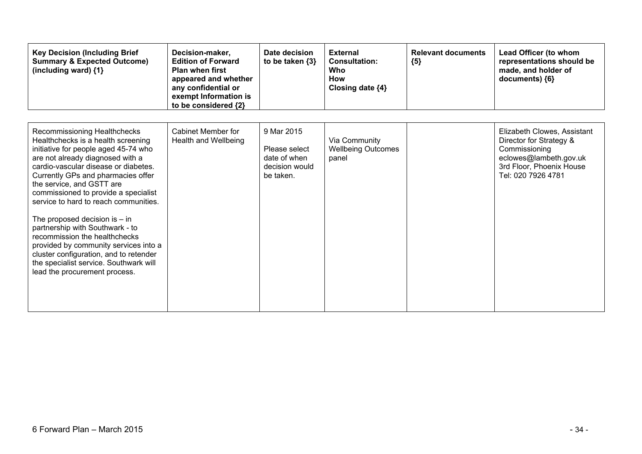| <b>Key Decision (Including Brief</b><br><b>Summary &amp; Expected Outcome)</b><br>(including ward) {1}                                                                                                                                                                                                                                                                                                                                                                                                                                                                                                          | Decision-maker,<br><b>Edition of Forward</b><br><b>Plan when first</b><br>appeared and whether<br>any confidential or<br>exempt Information is<br>to be considered {2} | Date decision<br>to be taken {3}                                           | <b>External</b><br><b>Consultation:</b><br>Who<br>How<br>Closing date ${4}$ | <b>Relevant documents</b><br>${5}$ | Lead Officer (to whom<br>representations should be<br>made, and holder of<br>documents) {6}                                                         |
|-----------------------------------------------------------------------------------------------------------------------------------------------------------------------------------------------------------------------------------------------------------------------------------------------------------------------------------------------------------------------------------------------------------------------------------------------------------------------------------------------------------------------------------------------------------------------------------------------------------------|------------------------------------------------------------------------------------------------------------------------------------------------------------------------|----------------------------------------------------------------------------|-----------------------------------------------------------------------------|------------------------------------|-----------------------------------------------------------------------------------------------------------------------------------------------------|
| Recommissioning Healthchecks<br>Healthchecks is a health screening<br>initiative for people aged 45-74 who<br>are not already diagnosed with a<br>cardio-vascular disease or diabetes.<br>Currently GPs and pharmacies offer<br>the service, and GSTT are<br>commissioned to provide a specialist<br>service to hard to reach communities.<br>The proposed decision is $-$ in<br>partnership with Southwark - to<br>recommission the healthchecks<br>provided by community services into a<br>cluster configuration, and to retender<br>the specialist service. Southwark will<br>lead the procurement process. | Cabinet Member for<br>Health and Wellbeing                                                                                                                             | 9 Mar 2015<br>Please select<br>date of when<br>decision would<br>be taken. | Via Community<br><b>Wellbeing Outcomes</b><br>panel                         |                                    | Elizabeth Clowes, Assistant<br>Director for Strategy &<br>Commissioning<br>eclowes@lambeth.gov.uk<br>3rd Floor, Phoenix House<br>Tel: 020 7926 4781 |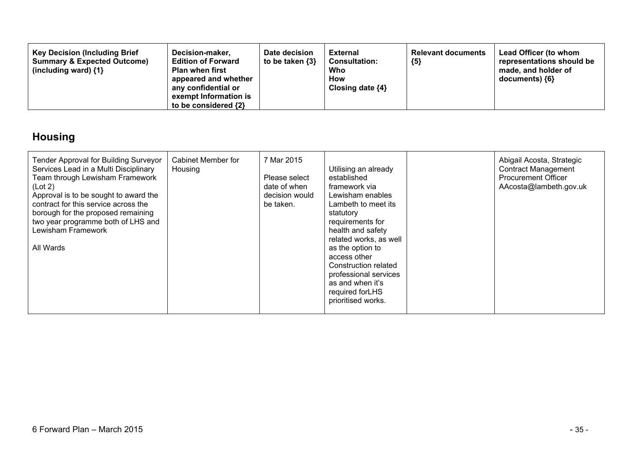| <b>Key Decision (Including Brief</b><br><b>Summary &amp; Expected Outcome)</b><br>(including ward) $\{1\}$ | Decision-maker,<br><b>Edition of Forward</b><br><b>Plan when first</b><br>appeared and whether<br>any confidential or<br>exempt Information is<br>to be considered {2} | Date decision<br>to be taken $\{3\}$ | <b>External</b><br><b>Consultation:</b><br>Who<br><b>How</b><br>Closing date $\{4\}$ | <b>Relevant documents</b><br>${5}$ | Lead Officer (to whom<br>representations should be<br>made, and holder of<br>documents) {6} |
|------------------------------------------------------------------------------------------------------------|------------------------------------------------------------------------------------------------------------------------------------------------------------------------|--------------------------------------|--------------------------------------------------------------------------------------|------------------------------------|---------------------------------------------------------------------------------------------|
|------------------------------------------------------------------------------------------------------------|------------------------------------------------------------------------------------------------------------------------------------------------------------------------|--------------------------------------|--------------------------------------------------------------------------------------|------------------------------------|---------------------------------------------------------------------------------------------|

## **Housing**

| Tender Approval for Building Surveyor<br>Services Lead in a Multi Disciplinary<br>Team through Lewisham Framework<br>(Lot 2)<br>Approval is to be sought to award the<br>contract for this service across the<br>borough for the proposed remaining<br>two year programme both of LHS and<br>Lewisham Framework<br>All Wards | Cabinet Member for<br>Housing | 7 Mar 2015<br>Please select<br>date of when<br>decision would<br>be taken. | Utilising an already<br>established<br>framework via<br>Lewisham enables<br>Lambeth to meet its<br>statutory<br>requirements for<br>health and safety<br>related works, as well<br>as the option to<br>access other<br>Construction related<br>professional services<br>as and when it's<br>required forLHS<br>prioritised works. |  | Abigail Acosta, Strategic<br><b>Contract Management</b><br><b>Procurement Officer</b><br>AAcosta@lambeth.gov.uk |
|------------------------------------------------------------------------------------------------------------------------------------------------------------------------------------------------------------------------------------------------------------------------------------------------------------------------------|-------------------------------|----------------------------------------------------------------------------|-----------------------------------------------------------------------------------------------------------------------------------------------------------------------------------------------------------------------------------------------------------------------------------------------------------------------------------|--|-----------------------------------------------------------------------------------------------------------------|
|------------------------------------------------------------------------------------------------------------------------------------------------------------------------------------------------------------------------------------------------------------------------------------------------------------------------------|-------------------------------|----------------------------------------------------------------------------|-----------------------------------------------------------------------------------------------------------------------------------------------------------------------------------------------------------------------------------------------------------------------------------------------------------------------------------|--|-----------------------------------------------------------------------------------------------------------------|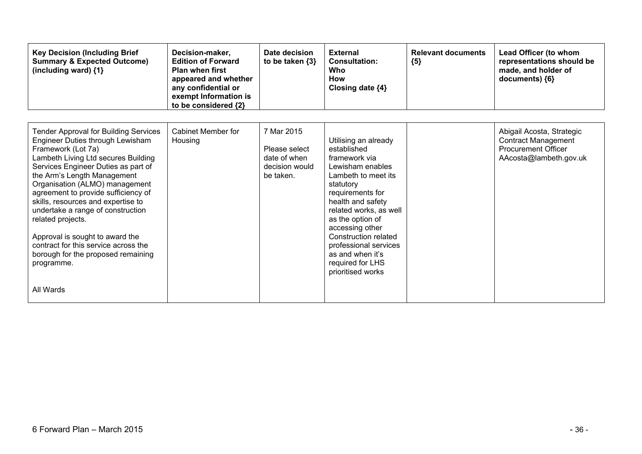| <b>Key Decision (Including Brief</b><br><b>Summary &amp; Expected Outcome)</b><br>(including ward) {1}                                                                                                                                                                                                                                                                                                                                                                                                                                   | Decision-maker,<br><b>Edition of Forward</b><br><b>Plan when first</b><br>appeared and whether<br>any confidential or<br>exempt Information is<br>to be considered {2} | Date decision<br>to be taken $\{3\}$                                       | <b>External</b><br><b>Consultation:</b><br>Who<br><b>How</b><br>Closing date $\{4\}$                                                                                                                                                                                                                                                 | <b>Relevant documents</b><br>${5}$ | Lead Officer (to whom<br>representations should be<br>made, and holder of<br>documents) {6}                     |
|------------------------------------------------------------------------------------------------------------------------------------------------------------------------------------------------------------------------------------------------------------------------------------------------------------------------------------------------------------------------------------------------------------------------------------------------------------------------------------------------------------------------------------------|------------------------------------------------------------------------------------------------------------------------------------------------------------------------|----------------------------------------------------------------------------|--------------------------------------------------------------------------------------------------------------------------------------------------------------------------------------------------------------------------------------------------------------------------------------------------------------------------------------|------------------------------------|-----------------------------------------------------------------------------------------------------------------|
| <b>Tender Approval for Building Services</b><br>Engineer Duties through Lewisham<br>Framework (Lot 7a)<br>Lambeth Living Ltd secures Building<br>Services Engineer Duties as part of<br>the Arm's Length Management<br>Organisation (ALMO) management<br>agreement to provide sufficiency of<br>skills, resources and expertise to<br>undertake a range of construction<br>related projects.<br>Approval is sought to award the<br>contract for this service across the<br>borough for the proposed remaining<br>programme.<br>All Wards | Cabinet Member for<br>Housing                                                                                                                                          | 7 Mar 2015<br>Please select<br>date of when<br>decision would<br>be taken. | Utilising an already<br>established<br>framework via<br>Lewisham enables<br>Lambeth to meet its<br>statutory<br>requirements for<br>health and safety<br>related works, as well<br>as the option of<br>accessing other<br>Construction related<br>professional services<br>as and when it's<br>required for LHS<br>prioritised works |                                    | Abigail Acosta, Strategic<br><b>Contract Management</b><br><b>Procurement Officer</b><br>AAcosta@lambeth.gov.uk |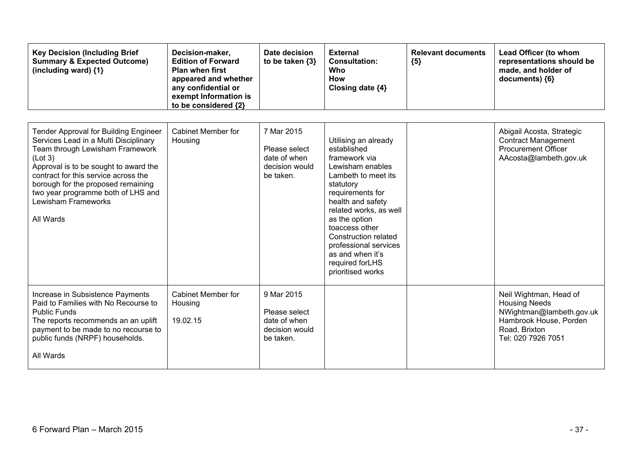| <b>Key Decision (Including Brief</b><br><b>Summary &amp; Expected Outcome)</b><br>(including ward) {1}                                                                                                                                                                                                                               | Decision-maker,<br><b>Edition of Forward</b><br><b>Plan when first</b><br>appeared and whether<br>any confidential or<br>exempt Information is<br>to be considered {2} | Date decision<br>to be taken {3}                                           | <b>External</b><br><b>Consultation:</b><br>Who<br><b>How</b><br>Closing date {4}                                                                                                                                                                                                                                                       | <b>Relevant documents</b><br>${5}$ | Lead Officer (to whom<br>representations should be<br>made, and holder of<br>documents) {6}                                                 |
|--------------------------------------------------------------------------------------------------------------------------------------------------------------------------------------------------------------------------------------------------------------------------------------------------------------------------------------|------------------------------------------------------------------------------------------------------------------------------------------------------------------------|----------------------------------------------------------------------------|----------------------------------------------------------------------------------------------------------------------------------------------------------------------------------------------------------------------------------------------------------------------------------------------------------------------------------------|------------------------------------|---------------------------------------------------------------------------------------------------------------------------------------------|
| <b>Tender Approval for Building Engineer</b><br>Services Lead in a Multi Disciplinary<br>Team through Lewisham Framework<br>(Lot 3)<br>Approval is to be sought to award the<br>contract for this service across the<br>borough for the proposed remaining<br>two year programme both of LHS and<br>Lewisham Frameworks<br>All Wards | <b>Cabinet Member for</b><br>Housing                                                                                                                                   | 7 Mar 2015<br>Please select<br>date of when<br>decision would<br>be taken. | Utilising an already<br>established<br>framework via<br>Lewisham enables<br>Lambeth to meet its<br>statutory<br>requirements for<br>health and safety<br>related works, as well<br>as the option<br>toaccess other<br><b>Construction related</b><br>professional services<br>as and when it's<br>required forLHS<br>prioritised works |                                    | Abigail Acosta, Strategic<br><b>Contract Management</b><br><b>Procurement Officer</b><br>AAcosta@lambeth.gov.uk                             |
| Increase in Subsistence Payments<br>Paid to Families with No Recourse to<br><b>Public Funds</b><br>The reports recommends an an uplift<br>payment to be made to no recourse to<br>public funds (NRPF) households.<br>All Wards                                                                                                       | <b>Cabinet Member for</b><br>Housing<br>19.02.15                                                                                                                       | 9 Mar 2015<br>Please select<br>date of when<br>decision would<br>be taken. |                                                                                                                                                                                                                                                                                                                                        |                                    | Neil Wightman, Head of<br><b>Housing Needs</b><br>NWightman@lambeth.gov.uk<br>Hambrook House, Porden<br>Road, Brixton<br>Tel: 020 7926 7051 |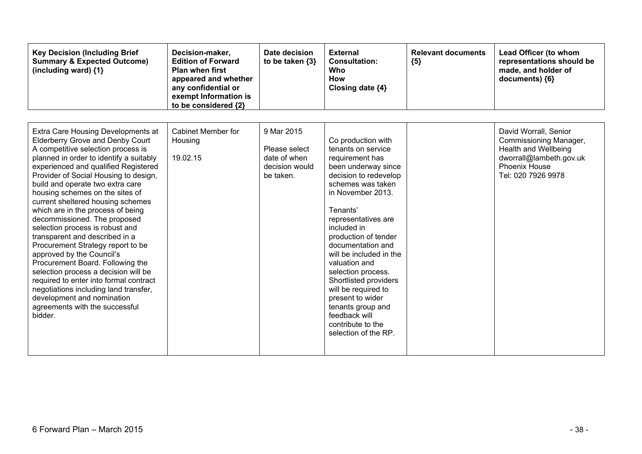| <b>Key Decision (Including Brief</b><br><b>Summary &amp; Expected Outcome)</b><br>(including ward) {1}                                                                                                                                                                                                                                                                                                                                                                                                                                                                                                                                                                                                                                                                                                            | Decision-maker,<br><b>Edition of Forward</b><br><b>Plan when first</b><br>appeared and whether<br>any confidential or<br>exempt Information is<br>to be considered {2} | Date decision<br>to be taken $\{3\}$                                       | <b>External</b><br><b>Consultation:</b><br>Who<br>How<br>Closing date {4}                                                                                                                                                                                                                                                                                                                                                                                                     | <b>Relevant documents</b><br>${5}$ | Lead Officer (to whom<br>representations should be<br>made, and holder of<br>documents) {6}                                                      |
|-------------------------------------------------------------------------------------------------------------------------------------------------------------------------------------------------------------------------------------------------------------------------------------------------------------------------------------------------------------------------------------------------------------------------------------------------------------------------------------------------------------------------------------------------------------------------------------------------------------------------------------------------------------------------------------------------------------------------------------------------------------------------------------------------------------------|------------------------------------------------------------------------------------------------------------------------------------------------------------------------|----------------------------------------------------------------------------|-------------------------------------------------------------------------------------------------------------------------------------------------------------------------------------------------------------------------------------------------------------------------------------------------------------------------------------------------------------------------------------------------------------------------------------------------------------------------------|------------------------------------|--------------------------------------------------------------------------------------------------------------------------------------------------|
| Extra Care Housing Developments at<br><b>Elderberry Grove and Denby Court</b><br>A competitive selection process is<br>planned in order to identify a suitably<br>experienced and qualified Registered<br>Provider of Social Housing to design,<br>build and operate two extra care<br>housing schemes on the sites of<br>current sheltered housing schemes<br>which are in the process of being<br>decommissioned. The proposed<br>selection process is robust and<br>transparent and described in a<br>Procurement Strategy report to be<br>approved by the Council's<br>Procurement Board. Following the<br>selection process a decision will be<br>required to enter into formal contract<br>negotiations including land transfer,<br>development and nomination<br>agreements with the successful<br>bidder. | Cabinet Member for<br>Housing<br>19.02.15                                                                                                                              | 9 Mar 2015<br>Please select<br>date of when<br>decision would<br>be taken. | Co production with<br>tenants on service<br>requirement has<br>been underway since<br>decision to redevelop<br>schemes was taken<br>in November 2013.<br>Tenants'<br>representatives are<br>included in<br>production of tender<br>documentation and<br>will be included in the<br>valuation and<br>selection process.<br>Shortlisted providers<br>will be required to<br>present to wider<br>tenants group and<br>feedback will<br>contribute to the<br>selection of the RP. |                                    | David Worrall, Senior<br>Commissioning Manager,<br><b>Health and Wellbeing</b><br>dworrall@lambeth.gov.uk<br>Phoenix House<br>Tel: 020 7926 9978 |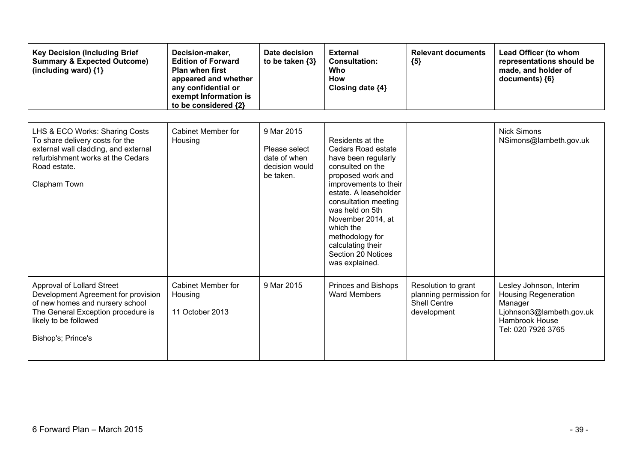| <b>Key Decision (Including Brief</b><br><b>Summary &amp; Expected Outcome)</b><br>(including ward) {1}                                                                                    | Decision-maker,<br><b>Edition of Forward</b><br><b>Plan when first</b><br>appeared and whether<br>any confidential or<br>exempt Information is<br>to be considered {2} | Date decision<br>to be taken $\{3\}$                                       | <b>External</b><br><b>Consultation:</b><br>Who<br><b>How</b><br>Closing date {4}                                                                                                                                                                                                                                      | <b>Relevant documents</b><br>${5}$                                                   | Lead Officer (to whom<br>representations should be<br>made, and holder of<br>documents) {6}                                           |
|-------------------------------------------------------------------------------------------------------------------------------------------------------------------------------------------|------------------------------------------------------------------------------------------------------------------------------------------------------------------------|----------------------------------------------------------------------------|-----------------------------------------------------------------------------------------------------------------------------------------------------------------------------------------------------------------------------------------------------------------------------------------------------------------------|--------------------------------------------------------------------------------------|---------------------------------------------------------------------------------------------------------------------------------------|
| LHS & ECO Works: Sharing Costs<br>To share delivery costs for the<br>external wall cladding, and external<br>refurbishment works at the Cedars<br>Road estate.<br>Clapham Town            | Cabinet Member for<br>Housing                                                                                                                                          | 9 Mar 2015<br>Please select<br>date of when<br>decision would<br>be taken. | Residents at the<br>Cedars Road estate<br>have been regularly<br>consulted on the<br>proposed work and<br>improvements to their<br>estate. A leaseholder<br>consultation meeting<br>was held on 5th<br>November 2014, at<br>which the<br>methodology for<br>calculating their<br>Section 20 Notices<br>was explained. |                                                                                      | <b>Nick Simons</b><br>NSimons@lambeth.gov.uk                                                                                          |
| Approval of Lollard Street<br>Development Agreement for provision<br>of new homes and nursery school<br>The General Exception procedure is<br>likely to be followed<br>Bishop's; Prince's | <b>Cabinet Member for</b><br>Housing<br>11 October 2013                                                                                                                | 9 Mar 2015                                                                 | Princes and Bishops<br><b>Ward Members</b>                                                                                                                                                                                                                                                                            | Resolution to grant<br>planning permission for<br><b>Shell Centre</b><br>development | Lesley Johnson, Interim<br><b>Housing Regeneration</b><br>Manager<br>Ljohnson3@lambeth.gov.uk<br>Hambrook House<br>Tel: 020 7926 3765 |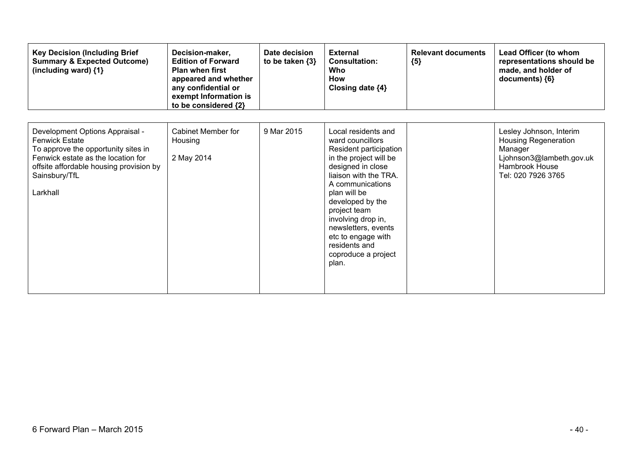| <b>Key Decision (Including Brief</b><br><b>Summary &amp; Expected Outcome)</b><br>(including ward) {1}                                                                                                        | Decision-maker,<br><b>Edition of Forward</b><br><b>Plan when first</b><br>appeared and whether<br>any confidential or<br>exempt Information is<br>to be considered {2} | Date decision<br>to be taken $\{3\}$ | <b>External</b><br><b>Consultation:</b><br>Who<br>How<br>Closing date ${4}$                                                                                                                                                                                                                                                           | <b>Relevant documents</b><br>${5}$ | Lead Officer (to whom<br>representations should be<br>made, and holder of<br>documents) {6}                                           |
|---------------------------------------------------------------------------------------------------------------------------------------------------------------------------------------------------------------|------------------------------------------------------------------------------------------------------------------------------------------------------------------------|--------------------------------------|---------------------------------------------------------------------------------------------------------------------------------------------------------------------------------------------------------------------------------------------------------------------------------------------------------------------------------------|------------------------------------|---------------------------------------------------------------------------------------------------------------------------------------|
| Development Options Appraisal -<br><b>Fenwick Estate</b><br>To approve the opportunity sites in<br>Fenwick estate as the location for<br>offsite affordable housing provision by<br>Sainsbury/TfL<br>Larkhall | Cabinet Member for<br>Housing<br>2 May 2014                                                                                                                            | 9 Mar 2015                           | Local residents and<br>ward councillors<br>Resident participation<br>in the project will be<br>designed in close<br>liaison with the TRA.<br>A communications<br>plan will be<br>developed by the<br>project team<br>involving drop in,<br>newsletters, events<br>etc to engage with<br>residents and<br>coproduce a project<br>plan. |                                    | Lesley Johnson, Interim<br><b>Housing Regeneration</b><br>Manager<br>Ljohnson3@lambeth.gov.uk<br>Hambrook House<br>Tel: 020 7926 3765 |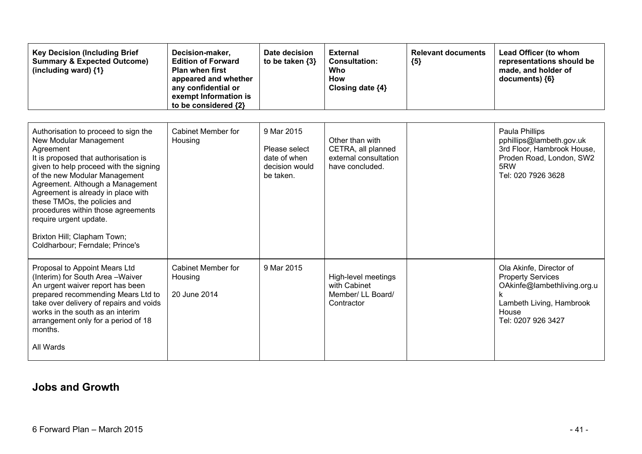| <b>Key Decision (Including Brief</b><br><b>Summary &amp; Expected Outcome)</b><br>(including ward) {1}                                                                                                                                                                                                                                                                                                                                     | Decision-maker,<br><b>Edition of Forward</b><br><b>Plan when first</b><br>appeared and whether<br>any confidential or<br>exempt Information is<br>to be considered {2} | Date decision<br>to be taken $\{3\}$                                       | <b>External</b><br><b>Consultation:</b><br>Who<br><b>How</b><br>Closing date {4}  | <b>Relevant documents</b><br>${5}$ | Lead Officer (to whom<br>representations should be<br>made, and holder of<br>documents) {6}                                                        |
|--------------------------------------------------------------------------------------------------------------------------------------------------------------------------------------------------------------------------------------------------------------------------------------------------------------------------------------------------------------------------------------------------------------------------------------------|------------------------------------------------------------------------------------------------------------------------------------------------------------------------|----------------------------------------------------------------------------|-----------------------------------------------------------------------------------|------------------------------------|----------------------------------------------------------------------------------------------------------------------------------------------------|
| Authorisation to proceed to sign the<br>New Modular Management<br>Agreement<br>It is proposed that authorisation is<br>given to help proceed with the signing<br>of the new Modular Management<br>Agreement. Although a Management<br>Agreement is already in place with<br>these TMOs, the policies and<br>procedures within those agreements<br>require urgent update.<br>Brixton Hill; Clapham Town;<br>Coldharbour; Ferndale; Prince's | Cabinet Member for<br>Housing                                                                                                                                          | 9 Mar 2015<br>Please select<br>date of when<br>decision would<br>be taken. | Other than with<br>CETRA, all planned<br>external consultation<br>have concluded. |                                    | Paula Phillips<br>pphillips@lambeth.gov.uk<br>3rd Floor, Hambrook House,<br>Proden Road, London, SW2<br>5RW<br>Tel: 020 7926 3628                  |
| Proposal to Appoint Mears Ltd<br>(Interim) for South Area - Waiver<br>An urgent waiver report has been<br>prepared recommending Mears Ltd to<br>take over delivery of repairs and voids<br>works in the south as an interim<br>arrangement only for a period of 18<br>months.<br>All Wards                                                                                                                                                 | Cabinet Member for<br>Housing<br>20 June 2014                                                                                                                          | 9 Mar 2015                                                                 | High-level meetings<br>with Cabinet<br>Member/ LL Board/<br>Contractor            |                                    | Ola Akinfe, Director of<br><b>Property Services</b><br>OAkinfe@lambethliving.org.u<br>k<br>Lambeth Living, Hambrook<br>House<br>Tel: 0207 926 3427 |

### **Jobs and Growth**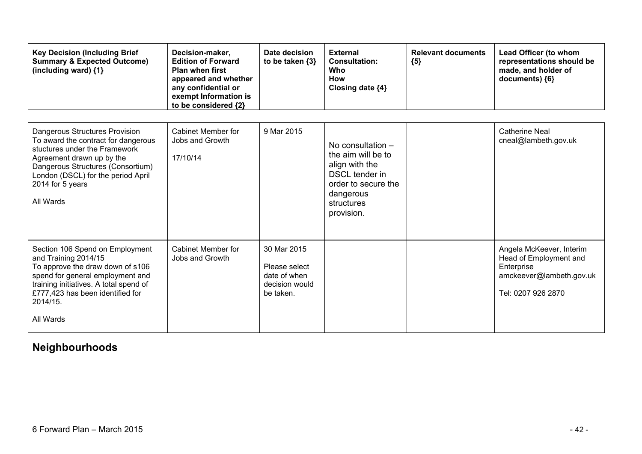| <b>Key Decision (Including Brief</b><br><b>Summary &amp; Expected Outcome)</b><br>(including ward) {1}                                                                                                                                                 | Decision-maker,<br><b>Edition of Forward</b><br><b>Plan when first</b><br>appeared and whether<br>any confidential or<br>exempt Information is<br>to be considered {2} | Date decision<br>to be taken $\{3\}$                                        | <b>External</b><br><b>Consultation:</b><br>Who<br><b>How</b><br>Closing date {4}                                                            | <b>Relevant documents</b><br>${5}$ | Lead Officer (to whom<br>representations should be<br>made, and holder of<br>documents) {6}                        |
|--------------------------------------------------------------------------------------------------------------------------------------------------------------------------------------------------------------------------------------------------------|------------------------------------------------------------------------------------------------------------------------------------------------------------------------|-----------------------------------------------------------------------------|---------------------------------------------------------------------------------------------------------------------------------------------|------------------------------------|--------------------------------------------------------------------------------------------------------------------|
| <b>Dangerous Structures Provision</b><br>To award the contract for dangerous<br>stuctures under the Framework<br>Agreement drawn up by the<br>Dangerous Structures (Consortium)<br>London (DSCL) for the period April<br>2014 for 5 years<br>All Wards | <b>Cabinet Member for</b><br>Jobs and Growth<br>17/10/14                                                                                                               | 9 Mar 2015                                                                  | No consultation -<br>the aim will be to<br>align with the<br>DSCL tender in<br>order to secure the<br>dangerous<br>structures<br>provision. |                                    | <b>Catherine Neal</b><br>cneal@lambeth.gov.uk                                                                      |
| Section 106 Spend on Employment<br>and Training 2014/15<br>To approve the draw down of s106<br>spend for general employment and<br>training initiatives. A total spend of<br>£777,423 has been identified for<br>2014/15.<br>All Wards                 | Cabinet Member for<br>Jobs and Growth                                                                                                                                  | 30 Mar 2015<br>Please select<br>date of when<br>decision would<br>be taken. |                                                                                                                                             |                                    | Angela McKeever, Interim<br>Head of Employment and<br>Enterprise<br>amckeever@lambeth.gov.uk<br>Tel: 0207 926 2870 |

## **Neighbourhoods**